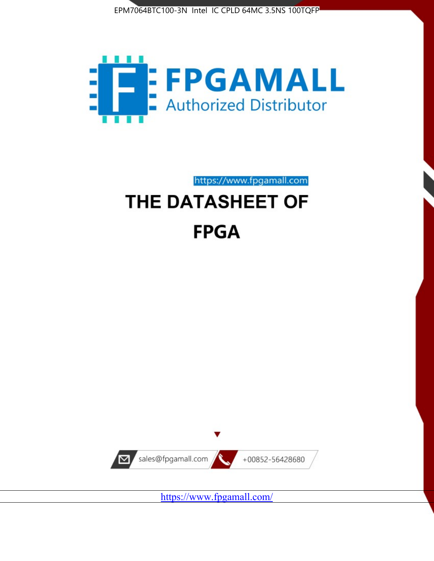



https://www.fpgamall.com THE DATASHEET OF

# **FPGA**



<https://www.fpgamall.com/>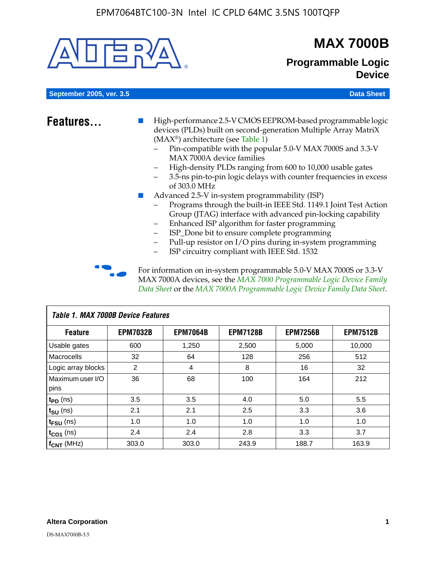

# **MAX 7000B**

# **Programmable Logic Device**

**September 2005, ver. 3.5 Data Sheet** Construction of the Construction of the Construction of the Data Sheet

- **Features...** High-performance 2.5-V CMOS EEPROM-based programmable logic devices (PLDs) built on second-generation Multiple Array MatriX (MAX®) architecture (see Table 1)
	- Pin-compatible with the popular 5.0-V MAX 7000S and 3.3-V MAX 7000A device families
	- High-density PLDs ranging from 600 to 10,000 usable gates
	- 3.5-ns pin-to-pin logic delays with counter frequencies in excess of 303.0 MHz
	- Advanced 2.5-V in-system programmability (ISP)
	- Programs through the built-in IEEE Std. 1149.1 Joint Test Action Group (JTAG) interface with advanced pin-locking capability
	- Enhanced ISP algorithm for faster programming
	- ISP\_Done bit to ensure complete programming
	- Pull-up resistor on I/O pins during in-system programming
	- ISP circuitry compliant with IEEE Std. 1532

For information on in-system programmable 5.0-V MAX 7000S or 3.3-V MAX 7000A devices, see the *MAX 7000 Programmable Logic Device Family Data Sheet* or the *MAX 7000A Programmable Logic Device Family Data Sheet*.

| Table 1. MAX 7000B Device Features |                 |                 |                 |                 |                 |  |  |
|------------------------------------|-----------------|-----------------|-----------------|-----------------|-----------------|--|--|
| <b>Feature</b>                     | <b>EPM7032B</b> | <b>EPM7064B</b> | <b>EPM7128B</b> | <b>EPM7256B</b> | <b>EPM7512B</b> |  |  |
| Usable gates                       | 600             | 1,250           | 2,500           | 5,000           | 10,000          |  |  |
| <b>Macrocells</b>                  | 32              | 64              | 128             | 256             | 512             |  |  |
| Logic array blocks                 | $\overline{2}$  | 4               | 8               | 16              | 32              |  |  |
| Maximum user I/O                   | 36              | 68              | 100             | 164             | 212             |  |  |
| pins                               |                 |                 |                 |                 |                 |  |  |
| $t_{PD}$ (ns)                      | 3.5             | 3.5             | 4.0             | 5.0             | 5.5             |  |  |
| $t_{\text{SU}}$ (ns)               | 2.1             | 2.1             | 2.5             | 3.3             | 3.6             |  |  |
| $t_{\text{FSU}}$ (ns)              | 1.0             | 1.0             | 1.0             | 1.0             | 1.0             |  |  |
| $t_{CO1}$ (ns)                     | 2.4             | 2.4             | 2.8             | 3.3             | 3.7             |  |  |
| f <sub>CNT</sub> (MHz)             | 303.0           | 303.0           | 243.9           | 188.7           | 163.9           |  |  |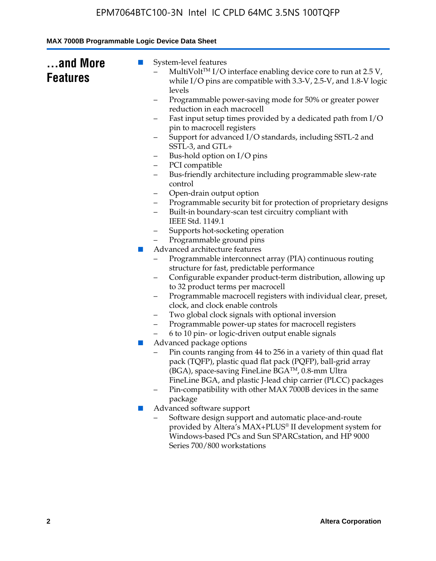| and More<br><b>Features</b> | System-level features<br>$\blacksquare$<br>MultiVolt™ I/O interface enabling device core to run at 2.5 V,<br>while I/O pins are compatible with 3.3-V, 2.5-V, and 1.8-V logic<br>levels<br>Programmable power-saving mode for 50% or greater power<br>-<br>reduction in each macrocell<br>Fast input setup times provided by a dedicated path from I/O<br>pin to macrocell registers<br>Support for advanced I/O standards, including SSTL-2 and<br>SSTL-3, and GTL+<br>Bus-hold option on I/O pins<br>-<br>PCI compatible<br>-<br>Bus-friendly architecture including programmable slew-rate<br>-<br>control<br>Open-drain output option<br>-<br>Programmable security bit for protection of proprietary designs<br>-<br>Built-in boundary-scan test circuitry compliant with<br>$\overline{\phantom{0}}$<br>IEEE Std. 1149.1<br>Supports hot-socketing operation<br>-<br>Programmable ground pins<br>Advanced architecture features<br>$\mathcal{L}_{\mathcal{A}}$<br>Programmable interconnect array (PIA) continuous routing<br>structure for fast, predictable performance<br>Configurable expander product-term distribution, allowing up<br>-<br>to 32 product terms per macrocell<br>Programmable macrocell registers with individual clear, preset,<br>-<br>clock, and clock enable controls<br>Two global clock signals with optional inversion<br>Programmable power-up states for macrocell registers<br>6 to 10 pin- or logic-driven output enable signals<br>Advanced package options<br>$\mathbb{Z}$<br>Pin counts ranging from 44 to 256 in a variety of thin quad flat<br>pack (TQFP), plastic quad flat pack (PQFP), ball-grid array<br>(BGA), space-saving FineLine BGA™, 0.8-mm Ultra |
|-----------------------------|-----------------------------------------------------------------------------------------------------------------------------------------------------------------------------------------------------------------------------------------------------------------------------------------------------------------------------------------------------------------------------------------------------------------------------------------------------------------------------------------------------------------------------------------------------------------------------------------------------------------------------------------------------------------------------------------------------------------------------------------------------------------------------------------------------------------------------------------------------------------------------------------------------------------------------------------------------------------------------------------------------------------------------------------------------------------------------------------------------------------------------------------------------------------------------------------------------------------------------------------------------------------------------------------------------------------------------------------------------------------------------------------------------------------------------------------------------------------------------------------------------------------------------------------------------------------------------------------------------------------------------------------------------------------------------------------------------------|
|                             | FineLine BGA, and plastic J-lead chip carrier (PLCC) packages<br>Pin-compatibility with other MAX 7000B devices in the same<br>package                                                                                                                                                                                                                                                                                                                                                                                                                                                                                                                                                                                                                                                                                                                                                                                                                                                                                                                                                                                                                                                                                                                                                                                                                                                                                                                                                                                                                                                                                                                                                                    |
|                             | Advanced software support<br>ш<br>Software design support and automatic place-and-route<br>provided by Altera's MAX+PLUS® II development system for<br>Windows-based PCs and Sun SPARCstation, and HP 9000<br>Series 700/800 workstations                                                                                                                                                                                                                                                                                                                                                                                                                                                                                                                                                                                                                                                                                                                                                                                                                                                                                                                                                                                                                                                                                                                                                                                                                                                                                                                                                                                                                                                                 |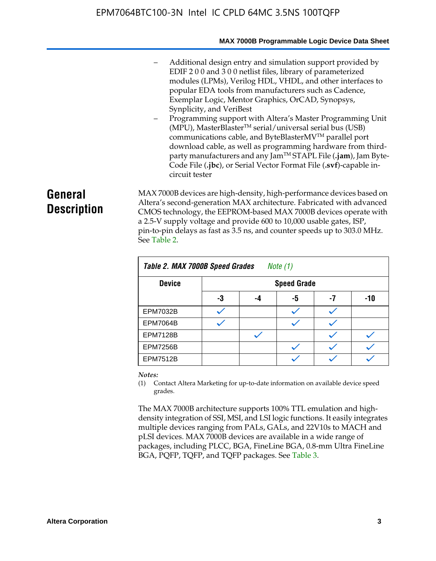#### **MAX 7000B Programmable Logic Device Data Sheet**

- Additional design entry and simulation support provided by EDIF 2 0 0 and 3 0 0 netlist files, library of parameterized modules (LPMs), Verilog HDL, VHDL, and other interfaces to popular EDA tools from manufacturers such as Cadence, Exemplar Logic, Mentor Graphics, OrCAD, Synopsys, Synplicity, and VeriBest
- Programming support with Altera's Master Programming Unit  $(MPU)$ , MasterBlaster<sup>TM</sup> serial/universal serial bus (USB) communications cable, and ByteBlasterMVTM parallel port download cable, as well as programming hardware from thirdparty manufacturers and any JamTM STAPL File (**.jam**), Jam Byte-Code File (**.jbc**), or Serial Vector Format File (**.svf**)-capable incircuit tester

# **General Description**

MAX 7000B devices are high-density, high-performance devices based on Altera's second-generation MAX architecture. Fabricated with advanced CMOS technology, the EEPROM-based MAX 7000B devices operate with a 2.5-V supply voltage and provide 600 to 10,000 usable gates, ISP, pin-to-pin delays as fast as 3.5 ns, and counter speeds up to 303.0 MHz. See Table 2.

| Table 2. MAX 7000B Speed Grades<br>Note $(1)$ |    |                    |    |    |     |  |  |
|-----------------------------------------------|----|--------------------|----|----|-----|--|--|
| <b>Device</b>                                 |    | <b>Speed Grade</b> |    |    |     |  |  |
|                                               | -3 | -4                 | -5 | -7 | -10 |  |  |
| <b>EPM7032B</b>                               |    |                    |    |    |     |  |  |
| <b>EPM7064B</b>                               |    |                    |    |    |     |  |  |
| <b>EPM7128B</b>                               |    |                    |    |    |     |  |  |
| <b>EPM7256B</b>                               |    |                    |    |    |     |  |  |
| <b>EPM7512B</b>                               |    |                    |    |    |     |  |  |

#### *Notes:*

(1) Contact Altera Marketing for up-to-date information on available device speed grades.

The MAX 7000B architecture supports 100% TTL emulation and highdensity integration of SSI, MSI, and LSI logic functions. It easily integrates multiple devices ranging from PALs, GALs, and 22V10s to MACH and pLSI devices. MAX 7000B devices are available in a wide range of packages, including PLCC, BGA, FineLine BGA, 0.8-mm Ultra FineLine BGA, PQFP, TQFP, and TQFP packages. See Table 3.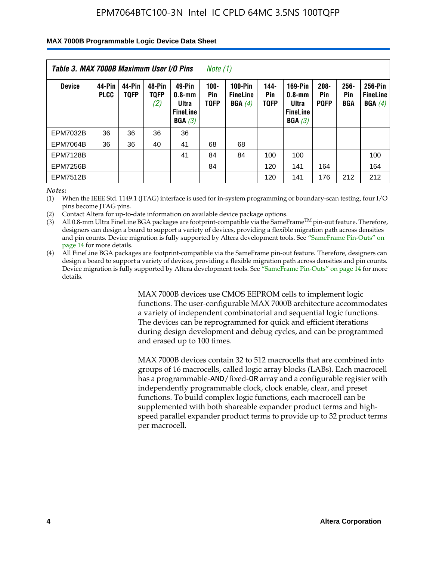#### **MAX 7000B Programmable Logic Device Data Sheet**

| Table 3. MAX 7000B Maximum User I/O Pins<br>Note (1) |                       |                       |                       |                                                            |                               |                                             |                            |                                                                    |                               |                              |                                      |
|------------------------------------------------------|-----------------------|-----------------------|-----------------------|------------------------------------------------------------|-------------------------------|---------------------------------------------|----------------------------|--------------------------------------------------------------------|-------------------------------|------------------------------|--------------------------------------|
| <b>Device</b>                                        | 44-Pin<br><b>PLCC</b> | 44-Pin<br><b>TOFP</b> | 48-Pin<br>T0FP<br>(2) | 49-Pin<br>$0.8 - mm$<br>Ultra<br><b>FineLine</b><br>BGA(3) | $100 -$<br>Pin<br><b>TOFP</b> | <b>100-Pin</b><br><b>FineLine</b><br>BGA(4) | 144-<br>Pin<br><b>TOFP</b> | <b>169-Pin</b><br>$0.8 - mm$<br>Ultra<br><b>FineLine</b><br>BGA(3) | $208 -$<br>Pin<br><b>POFP</b> | $256 -$<br>Pin<br><b>BGA</b> | 256-Pin<br><b>FineLine</b><br>BGA(4) |
| <b>EPM7032B</b>                                      | 36                    | 36                    | 36                    | 36                                                         |                               |                                             |                            |                                                                    |                               |                              |                                      |
| <b>EPM7064B</b>                                      | 36                    | 36                    | 40                    | 41                                                         | 68                            | 68                                          |                            |                                                                    |                               |                              |                                      |
| <b>EPM7128B</b>                                      |                       |                       |                       | 41                                                         | 84                            | 84                                          | 100                        | 100                                                                |                               |                              | 100                                  |
| <b>EPM7256B</b>                                      |                       |                       |                       |                                                            | 84                            |                                             | 120                        | 141                                                                | 164                           |                              | 164                                  |
| <b>EPM7512B</b>                                      |                       |                       |                       |                                                            |                               |                                             | 120                        | 141                                                                | 176                           | 212                          | 212                                  |

*Notes:*

(1) When the IEEE Std. 1149.1 (JTAG) interface is used for in-system programming or boundary-scan testing, four I/O pins become JTAG pins.

(2) Contact Altera for up-to-date information on available device package options.

(3) All 0.8-mm Ultra FineLine BGA packages are footprint-compatible via the SameFrame<sup>TM</sup> pin-out feature. Therefore, designers can design a board to support a variety of devices, providing a flexible migration path across densities and pin counts. Device migration is fully supported by Altera development tools. See "SameFrame Pin-Outs" on page 14 for more details.

(4) All FineLine BGA packages are footprint-compatible via the SameFrame pin-out feature. Therefore, designers can design a board to support a variety of devices, providing a flexible migration path across densities and pin counts. Device migration is fully supported by Altera development tools. See "SameFrame Pin-Outs" on page 14 for more details.

> MAX 7000B devices use CMOS EEPROM cells to implement logic functions. The user-configurable MAX 7000B architecture accommodates a variety of independent combinatorial and sequential logic functions. The devices can be reprogrammed for quick and efficient iterations during design development and debug cycles, and can be programmed and erased up to 100 times.

> MAX 7000B devices contain 32 to 512 macrocells that are combined into groups of 16 macrocells, called logic array blocks (LABs). Each macrocell has a programmable-AND/fixed-OR array and a configurable register with independently programmable clock, clock enable, clear, and preset functions. To build complex logic functions, each macrocell can be supplemented with both shareable expander product terms and highspeed parallel expander product terms to provide up to 32 product terms per macrocell.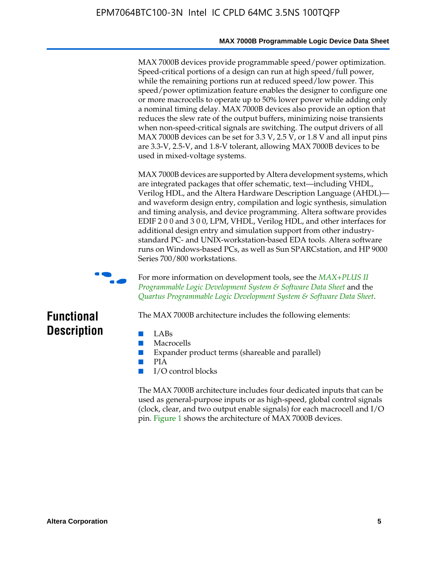#### **MAX 7000B Programmable Logic Device Data Sheet**

MAX 7000B devices provide programmable speed/power optimization. Speed-critical portions of a design can run at high speed/full power, while the remaining portions run at reduced speed/low power. This speed/power optimization feature enables the designer to configure one or more macrocells to operate up to 50% lower power while adding only a nominal timing delay. MAX 7000B devices also provide an option that reduces the slew rate of the output buffers, minimizing noise transients when non-speed-critical signals are switching. The output drivers of all MAX 7000B devices can be set for 3.3 V, 2.5 V, or 1.8 V and all input pins are 3.3-V, 2.5-V, and 1.8-V tolerant, allowing MAX 7000B devices to be used in mixed-voltage systems.

MAX 7000B devices are supported by Altera development systems, which are integrated packages that offer schematic, text—including VHDL, Verilog HDL, and the Altera Hardware Description Language (AHDL) and waveform design entry, compilation and logic synthesis, simulation and timing analysis, and device programming. Altera software provides EDIF 2 0 0 and 3 0 0, LPM, VHDL, Verilog HDL, and other interfaces for additional design entry and simulation support from other industrystandard PC- and UNIX-workstation-based EDA tools. Altera software runs on Windows-based PCs, as well as Sun SPARCstation, and HP 9000 Series 700/800 workstations.



**For more information on development tools, see the** *MAX+PLUS II Programmable Logic Development System & Software Data Sheet* and the *Quartus Programmable Logic Development System & Software Data Sheet*.

# **Functional Description**

- LABs
- Macrocells
- Expander product terms (shareable and parallel)

The MAX 7000B architecture includes the following elements:

- PIA
- I/O control blocks

The MAX 7000B architecture includes four dedicated inputs that can be used as general-purpose inputs or as high-speed, global control signals (clock, clear, and two output enable signals) for each macrocell and I/O pin. Figure 1 shows the architecture of MAX 7000B devices.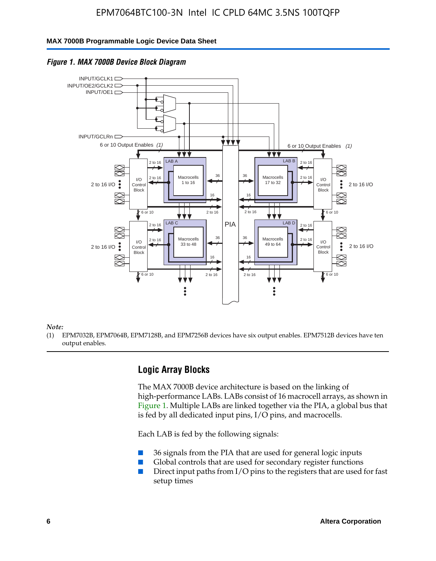#### **MAX 7000B Programmable Logic Device Data Sheet**





#### *Note:*

(1) EPM7032B, EPM7064B, EPM7128B, and EPM7256B devices have six output enables. EPM7512B devices have ten output enables.

### **Logic Array Blocks**

The MAX 7000B device architecture is based on the linking of high-performance LABs. LABs consist of 16 macrocell arrays, as shown in Figure 1. Multiple LABs are linked together via the PIA, a global bus that is fed by all dedicated input pins,  $I/O$  pins, and macrocells.

Each LAB is fed by the following signals:

- 36 signals from the PIA that are used for general logic inputs
- Global controls that are used for secondary register functions
- Direct input paths from I/O pins to the registers that are used for fast setup times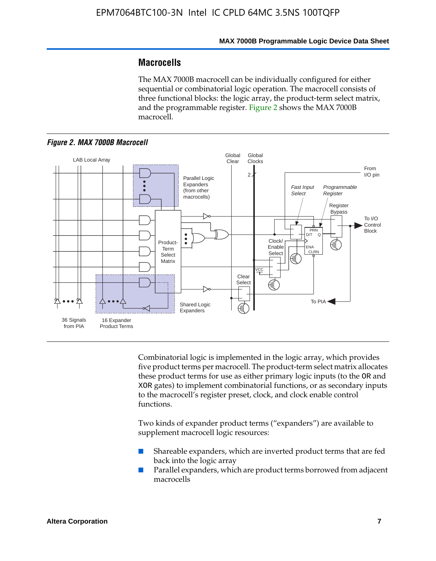### **Macrocells**

The MAX 7000B macrocell can be individually configured for either sequential or combinatorial logic operation. The macrocell consists of three functional blocks: the logic array, the product-term select matrix, and the programmable register. Figure 2 shows the MAX 7000B macrocell.





Combinatorial logic is implemented in the logic array, which provides five product terms per macrocell. The product-term select matrix allocates these product terms for use as either primary logic inputs (to the OR and XOR gates) to implement combinatorial functions, or as secondary inputs to the macrocell's register preset, clock, and clock enable control functions.

Two kinds of expander product terms ("expanders") are available to supplement macrocell logic resources:

- Shareable expanders, which are inverted product terms that are fed back into the logic array
- Parallel expanders, which are product terms borrowed from adjacent macrocells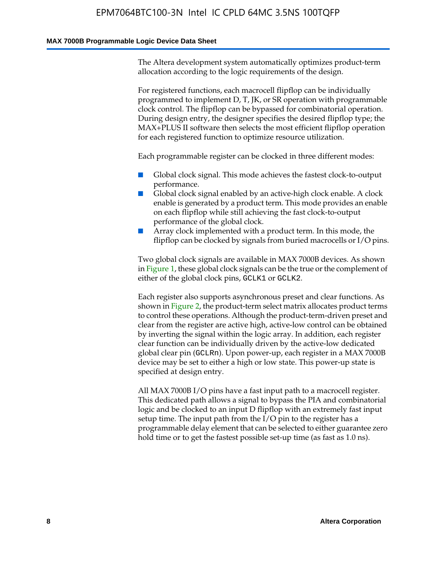#### **MAX 7000B Programmable Logic Device Data Sheet**

The Altera development system automatically optimizes product-term allocation according to the logic requirements of the design.

For registered functions, each macrocell flipflop can be individually programmed to implement D, T, JK, or SR operation with programmable clock control. The flipflop can be bypassed for combinatorial operation. During design entry, the designer specifies the desired flipflop type; the MAX+PLUS II software then selects the most efficient flipflop operation for each registered function to optimize resource utilization.

Each programmable register can be clocked in three different modes:

- Global clock signal. This mode achieves the fastest clock-to-output performance.
- Global clock signal enabled by an active-high clock enable. A clock enable is generated by a product term. This mode provides an enable on each flipflop while still achieving the fast clock-to-output performance of the global clock.
- Array clock implemented with a product term. In this mode, the flipflop can be clocked by signals from buried macrocells or I/O pins.

Two global clock signals are available in MAX 7000B devices. As shown in Figure 1, these global clock signals can be the true or the complement of either of the global clock pins, GCLK1 or GCLK2.

Each register also supports asynchronous preset and clear functions. As shown in Figure 2, the product-term select matrix allocates product terms to control these operations. Although the product-term-driven preset and clear from the register are active high, active-low control can be obtained by inverting the signal within the logic array. In addition, each register clear function can be individually driven by the active-low dedicated global clear pin (GCLRn). Upon power-up, each register in a MAX 7000B device may be set to either a high or low state. This power-up state is specified at design entry.

All MAX 7000B I/O pins have a fast input path to a macrocell register. This dedicated path allows a signal to bypass the PIA and combinatorial logic and be clocked to an input D flipflop with an extremely fast input setup time. The input path from the I/O pin to the register has a programmable delay element that can be selected to either guarantee zero hold time or to get the fastest possible set-up time (as fast as 1.0 ns).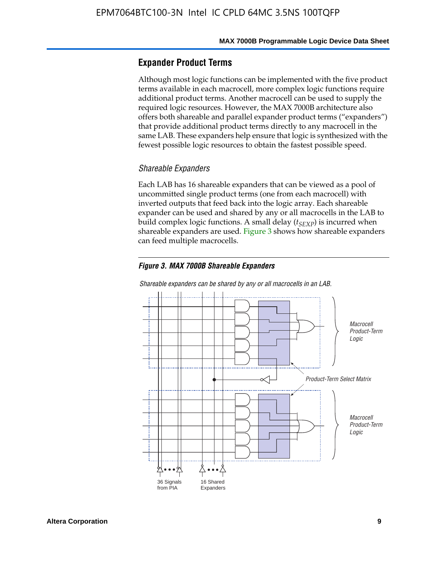### **Expander Product Terms**

Although most logic functions can be implemented with the five product terms available in each macrocell, more complex logic functions require additional product terms. Another macrocell can be used to supply the required logic resources. However, the MAX 7000B architecture also offers both shareable and parallel expander product terms ("expanders") that provide additional product terms directly to any macrocell in the same LAB. These expanders help ensure that logic is synthesized with the fewest possible logic resources to obtain the fastest possible speed.

#### *Shareable Expanders*

Each LAB has 16 shareable expanders that can be viewed as a pool of uncommitted single product terms (one from each macrocell) with inverted outputs that feed back into the logic array. Each shareable expander can be used and shared by any or all macrocells in the LAB to build complex logic functions. A small delay ( $t_{SEXP}$ ) is incurred when shareable expanders are used. Figure 3 shows how shareable expanders can feed multiple macrocells.

#### *Figure 3. MAX 7000B Shareable Expanders*



#### *Shareable expanders can be shared by any or all macrocells in an LAB.*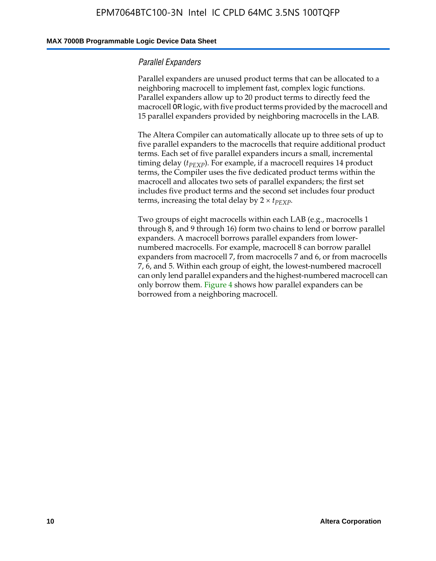#### **MAX 7000B Programmable Logic Device Data Sheet**

#### *Parallel Expanders*

Parallel expanders are unused product terms that can be allocated to a neighboring macrocell to implement fast, complex logic functions. Parallel expanders allow up to 20 product terms to directly feed the macrocell OR logic, with five product terms provided by the macrocell and 15 parallel expanders provided by neighboring macrocells in the LAB.

The Altera Compiler can automatically allocate up to three sets of up to five parallel expanders to the macrocells that require additional product terms. Each set of five parallel expanders incurs a small, incremental timing delay ( $t_{PEXP}$ ). For example, if a macrocell requires 14 product terms, the Compiler uses the five dedicated product terms within the macrocell and allocates two sets of parallel expanders; the first set includes five product terms and the second set includes four product terms, increasing the total delay by  $2 \times t_{PEXP}$ .

Two groups of eight macrocells within each LAB (e.g., macrocells 1 through 8, and 9 through 16) form two chains to lend or borrow parallel expanders. A macrocell borrows parallel expanders from lowernumbered macrocells. For example, macrocell 8 can borrow parallel expanders from macrocell 7, from macrocells 7 and 6, or from macrocells 7, 6, and 5. Within each group of eight, the lowest-numbered macrocell can only lend parallel expanders and the highest-numbered macrocell can only borrow them. Figure 4 shows how parallel expanders can be borrowed from a neighboring macrocell.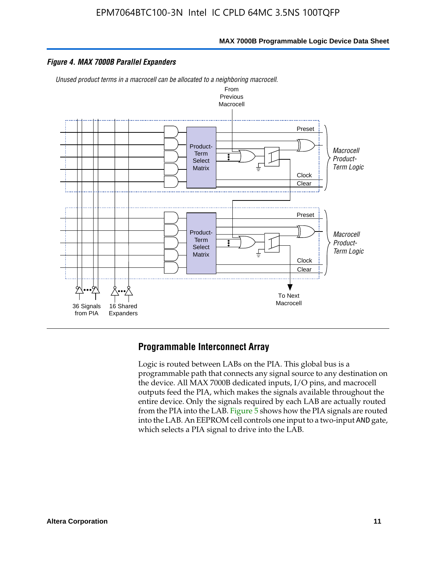

#### *Figure 4. MAX 7000B Parallel Expanders*

*Unused product terms in a macrocell can be allocated to a neighboring macrocell.*



#### **Programmable Interconnect Array**

Logic is routed between LABs on the PIA. This global bus is a programmable path that connects any signal source to any destination on the device. All MAX 7000B dedicated inputs, I/O pins, and macrocell outputs feed the PIA, which makes the signals available throughout the entire device. Only the signals required by each LAB are actually routed from the PIA into the LAB. Figure 5 shows how the PIA signals are routed into the LAB. An EEPROM cell controls one input to a two-input AND gate, which selects a PIA signal to drive into the LAB.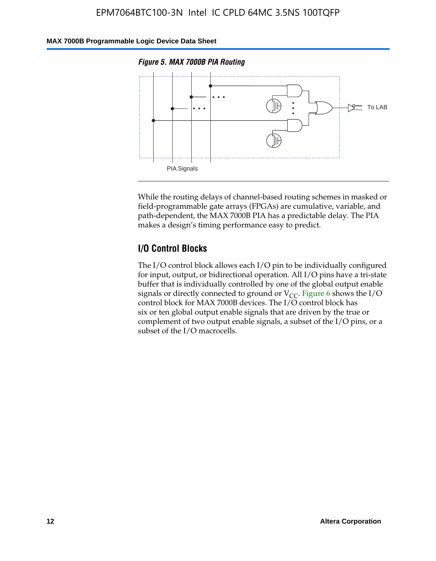#### **MAX 7000B Programmable Logic Device Data Sheet**





While the routing delays of channel-based routing schemes in masked or field-programmable gate arrays (FPGAs) are cumulative, variable, and path-dependent, the MAX 7000B PIA has a predictable delay. The PIA makes a design's timing performance easy to predict.

### **I/O Control Blocks**

The I/O control block allows each I/O pin to be individually configured for input, output, or bidirectional operation. All I/O pins have a tri-state buffer that is individually controlled by one of the global output enable signals or directly connected to ground or  $V_{CC}$ . Figure 6 shows the I/O control block for MAX 7000B devices. The I/O control block has six or ten global output enable signals that are driven by the true or complement of two output enable signals, a subset of the I/O pins, or a subset of the I/O macrocells.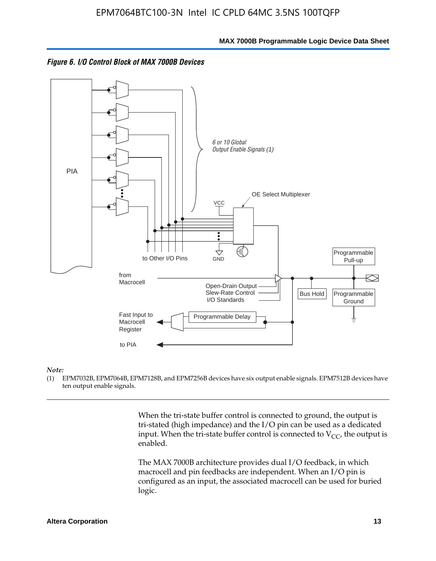



#### *Note:*

(1) EPM7032B, EPM7064B, EPM7128B, and EPM7256B devices have six output enable signals. EPM7512B devices have ten output enable signals.

> When the tri-state buffer control is connected to ground, the output is tri-stated (high impedance) and the I/O pin can be used as a dedicated input. When the tri-state buffer control is connected to  $V_{CC}$ , the output is enabled.

The MAX 7000B architecture provides dual I/O feedback, in which macrocell and pin feedbacks are independent. When an I/O pin is configured as an input, the associated macrocell can be used for buried logic.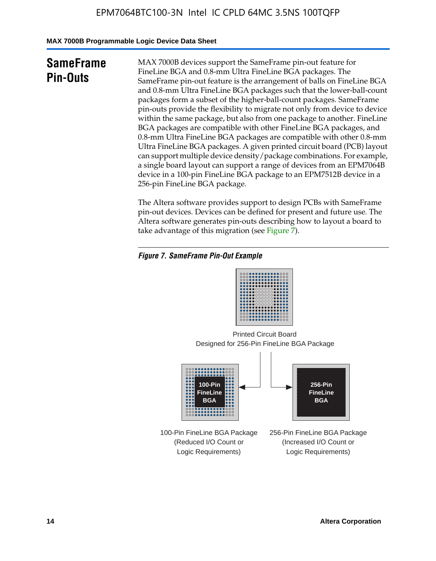**MAX 7000B Programmable Logic Device Data Sheet**

# **SameFrame Pin-Outs**

MAX 7000B devices support the SameFrame pin-out feature for FineLine BGA and 0.8-mm Ultra FineLine BGA packages. The SameFrame pin-out feature is the arrangement of balls on FineLine BGA and 0.8-mm Ultra FineLine BGA packages such that the lower-ball-count packages form a subset of the higher-ball-count packages. SameFrame pin-outs provide the flexibility to migrate not only from device to device within the same package, but also from one package to another. FineLine BGA packages are compatible with other FineLine BGA packages, and 0.8-mm Ultra FineLine BGA packages are compatible with other 0.8-mm Ultra FineLine BGA packages. A given printed circuit board (PCB) layout can support multiple device density/package combinations. For example, a single board layout can support a range of devices from an EPM7064B device in a 100-pin FineLine BGA package to an EPM7512B device in a 256-pin FineLine BGA package.

The Altera software provides support to design PCBs with SameFrame pin-out devices. Devices can be defined for present and future use. The Altera software generates pin-outs describing how to layout a board to take advantage of this migration (see Figure 7).

### *Figure 7. SameFrame Pin-Out Example*

Designed for 256-Pin FineLine BGA Package Printed Circuit Board



100-Pin FineLine BGA Package (Reduced I/O Count or Logic Requirements)

256-Pin FineLine BGA Package (Increased I/O Count or Logic Requirements)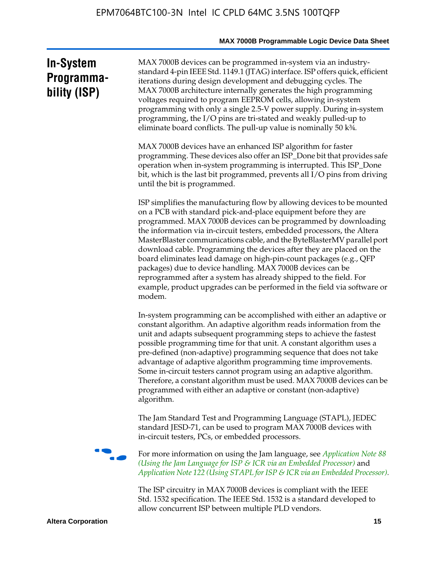# **In-System Programmability (ISP)**

MAX 7000B devices can be programmed in-system via an industrystandard 4-pin IEEE Std. 1149.1 (JTAG) interface. ISP offers quick, efficient iterations during design development and debugging cycles. The MAX 7000B architecture internally generates the high programming voltages required to program EEPROM cells, allowing in-system programming with only a single 2.5-V power supply. During in-system programming, the I/O pins are tri-stated and weakly pulled-up to eliminate board conflicts. The pull-up value is nominally 50 k¾.

MAX 7000B devices have an enhanced ISP algorithm for faster programming. These devices also offer an ISP\_Done bit that provides safe operation when in-system programming is interrupted. This ISP\_Done bit, which is the last bit programmed, prevents all I/O pins from driving until the bit is programmed.

ISP simplifies the manufacturing flow by allowing devices to be mounted on a PCB with standard pick-and-place equipment before they are programmed. MAX 7000B devices can be programmed by downloading the information via in-circuit testers, embedded processors, the Altera MasterBlaster communications cable, and the ByteBlasterMV parallel port download cable. Programming the devices after they are placed on the board eliminates lead damage on high-pin-count packages (e.g., QFP packages) due to device handling. MAX 7000B devices can be reprogrammed after a system has already shipped to the field. For example, product upgrades can be performed in the field via software or modem.

In-system programming can be accomplished with either an adaptive or constant algorithm. An adaptive algorithm reads information from the unit and adapts subsequent programming steps to achieve the fastest possible programming time for that unit. A constant algorithm uses a pre-defined (non-adaptive) programming sequence that does not take advantage of adaptive algorithm programming time improvements. Some in-circuit testers cannot program using an adaptive algorithm. Therefore, a constant algorithm must be used. MAX 7000B devices can be programmed with either an adaptive or constant (non-adaptive) algorithm.

The Jam Standard Test and Programming Language (STAPL), JEDEC standard JESD-71, can be used to program MAX 7000B devices with in-circuit testers, PCs, or embedded processors.



f For more information on using the Jam language, see *Application Note 88 (Using the Jam Language for ISP & ICR via an Embedded Processor)* and *Application Note 122 (Using STAPL for ISP & ICR via an Embedded Processor).*

The ISP circuitry in MAX 7000B devices is compliant with the IEEE Std. 1532 specification. The IEEE Std. 1532 is a standard developed to allow concurrent ISP between multiple PLD vendors.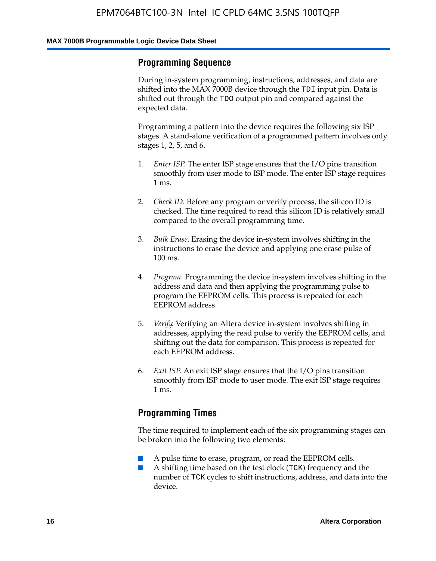### **Programming Sequence**

During in-system programming, instructions, addresses, and data are shifted into the MAX 7000B device through the TDI input pin. Data is shifted out through the TDO output pin and compared against the expected data.

Programming a pattern into the device requires the following six ISP stages. A stand-alone verification of a programmed pattern involves only stages 1, 2, 5, and 6.

- 1. *Enter ISP*. The enter ISP stage ensures that the I/O pins transition smoothly from user mode to ISP mode. The enter ISP stage requires 1 ms.
- 2. *Check ID*. Before any program or verify process, the silicon ID is checked. The time required to read this silicon ID is relatively small compared to the overall programming time.
- 3. *Bulk Erase*. Erasing the device in-system involves shifting in the instructions to erase the device and applying one erase pulse of 100 ms.
- 4. *Program*. Programming the device in-system involves shifting in the address and data and then applying the programming pulse to program the EEPROM cells. This process is repeated for each EEPROM address.
- 5. *Verify*. Verifying an Altera device in-system involves shifting in addresses, applying the read pulse to verify the EEPROM cells, and shifting out the data for comparison. This process is repeated for each EEPROM address.
- 6. *Exit ISP*. An exit ISP stage ensures that the I/O pins transition smoothly from ISP mode to user mode. The exit ISP stage requires 1 ms.

### **Programming Times**

The time required to implement each of the six programming stages can be broken into the following two elements:

- A pulse time to erase, program, or read the EEPROM cells.
- A shifting time based on the test clock (TCK) frequency and the number of TCK cycles to shift instructions, address, and data into the device.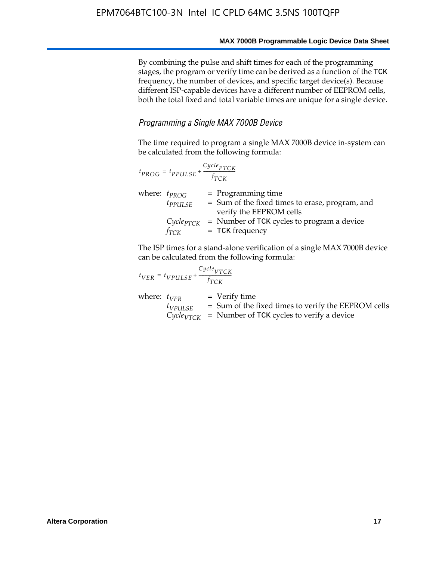By combining the pulse and shift times for each of the programming stages, the program or verify time can be derived as a function of the TCK frequency, the number of devices, and specific target device(s). Because different ISP-capable devices have a different number of EEPROM cells, both the total fixed and total variable times are unique for a single device.

#### *Programming a Single MAX 7000B Device*

The time required to program a single MAX 7000B device in-system can be calculated from the following formula:

| $t_{PROG} = t_{PPULSE} + \frac{Cycle_{PTCK}}{f_{TCK}}$ |                                                                                                    |
|--------------------------------------------------------|----------------------------------------------------------------------------------------------------|
| where: $t_{PROG}$<br>$t_{PPULSE}$                      | $=$ Programming time<br>= Sum of the fixed times to erase, program, and<br>verify the EEPROM cells |
| $Cycle_{PTCK}$<br>fтск                                 | = Number of TCK cycles to program a device<br>$=$ TCK frequency                                    |

The ISP times for a stand-alone verification of a single MAX 7000B device can be calculated from the following formula:

$$
t_{VER} = t_{VPULSE} + \frac{C_{Ycle_{VTCK}}}{f_{TCK}}
$$
  
where:  $t_{VER}$  = Verify time  
 $t_{VPULSE}$  = Sum of the fixed times to verify the EEPROM cells  
 $C_{Ycle_{VTCK}}$  = Number of TCK cycles to verify a device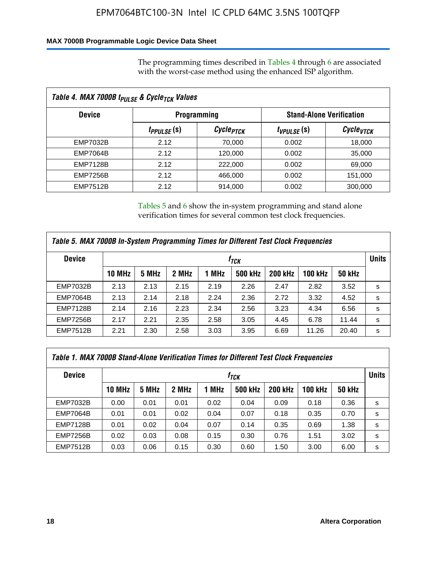### **MAX 7000B Programmable Logic Device Data Sheet**

The programming times described in Tables 4 through 6 are associated with the worst-case method using the enhanced ISP algorithm.

|                 | Table 4. MAX 7000B t <sub>PULSE</sub> & Cycle <sub>TCK</sub> Values |                       |                 |                                 |  |  |  |
|-----------------|---------------------------------------------------------------------|-----------------------|-----------------|---------------------------------|--|--|--|
| <b>Device</b>   |                                                                     | <b>Programming</b>    |                 | <b>Stand-Alone Verification</b> |  |  |  |
|                 | <i>t<sub>PPULSE</sub></i> (s)                                       | Cycle <sub>PTCK</sub> | $t_{VPULSE}(s)$ | Cycle <sub>vTCK</sub>           |  |  |  |
| EMP7032B        | 2.12                                                                | 70,000                | 0.002           | 18,000                          |  |  |  |
| <b>EMP7064B</b> | 2.12                                                                | 120,000               | 0.002           | 35,000                          |  |  |  |
| <b>EMP7128B</b> | 2.12                                                                | 222,000               | 0.002           | 69,000                          |  |  |  |
| <b>EMP7256B</b> | 2.12                                                                | 466,000               | 0.002           | 151,000                         |  |  |  |
| <b>EMP7512B</b> | 2.12                                                                | 914,000               | 0.002           | 300,000                         |  |  |  |

Tables 5 and 6 show the in-system programming and stand alone verification times for several common test clock frequencies.

| Table 5. MAX 7000B In-System Programming Times for Different Test Clock Frequencies |        |       |       |       |                |                |                |               |   |
|-------------------------------------------------------------------------------------|--------|-------|-------|-------|----------------|----------------|----------------|---------------|---|
| <b>Device</b>                                                                       | İтск   |       |       |       |                |                |                | <b>Units</b>  |   |
|                                                                                     | 10 MHz | 5 MHz | 2 MHz | 1 MHz | <b>500 kHz</b> | <b>200 kHz</b> | <b>100 kHz</b> | <b>50 kHz</b> |   |
| <b>EMP7032B</b>                                                                     | 2.13   | 2.13  | 2.15  | 2.19  | 2.26           | 2.47           | 2.82           | 3.52          | s |
| <b>EMP7064B</b>                                                                     | 2.13   | 2.14  | 2.18  | 2.24  | 2.36           | 2.72           | 3.32           | 4.52          | s |
| <b>EMP7128B</b>                                                                     | 2.14   | 2.16  | 2.23  | 2.34  | 2.56           | 3.23           | 4.34           | 6.56          | s |
| <b>EMP7256B</b>                                                                     | 2.17   | 2.21  | 2.35  | 2.58  | 3.05           | 4.45           | 6.78           | 11.44         | s |
| <b>EMP7512B</b>                                                                     | 2.21   | 2.30  | 2.58  | 3.03  | 3.95           | 6.69           | 11.26          | 20.40         | s |

| Table 1. MAX 7000B Stand-Alone Verification Times for Different Test Clock Frequencies |               |       |       |       |                |                |                |               |   |
|----------------------------------------------------------------------------------------|---------------|-------|-------|-------|----------------|----------------|----------------|---------------|---|
| <b>Device</b><br>t <sub>тск</sub>                                                      |               |       |       |       |                |                | <b>Units</b>   |               |   |
|                                                                                        | <b>10 MHz</b> | 5 MHz | 2 MHz | 1 MHz | <b>500 kHz</b> | <b>200 kHz</b> | <b>100 kHz</b> | <b>50 kHz</b> |   |
| <b>EMP7032B</b>                                                                        | 0.00          | 0.01  | 0.01  | 0.02  | 0.04           | 0.09           | 0.18           | 0.36          | s |
| <b>EMP7064B</b>                                                                        | 0.01          | 0.01  | 0.02  | 0.04  | 0.07           | 0.18           | 0.35           | 0.70          | s |
| <b>EMP7128B</b>                                                                        | 0.01          | 0.02  | 0.04  | 0.07  | 0.14           | 0.35           | 0.69           | 1.38          | s |
| <b>EMP7256B</b>                                                                        | 0.02          | 0.03  | 0.08  | 0.15  | 0.30           | 0.76           | 1.51           | 3.02          | s |
| <b>EMP7512B</b>                                                                        | 0.03          | 0.06  | 0.15  | 0.30  | 0.60           | 1.50           | 3.00           | 6.00          | s |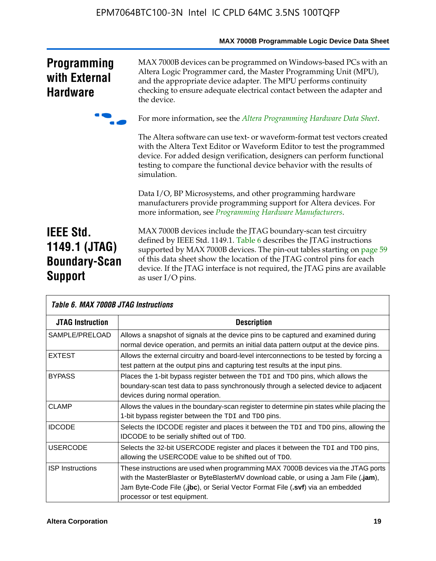|                                                                             | MAX 7000B Programmable Logic Device Data Sheet                                                                                                                                                                                                                                                                                                                                                 |
|-----------------------------------------------------------------------------|------------------------------------------------------------------------------------------------------------------------------------------------------------------------------------------------------------------------------------------------------------------------------------------------------------------------------------------------------------------------------------------------|
| <b>Programming</b><br>with External<br><b>Hardware</b>                      | MAX 7000B devices can be programmed on Windows-based PCs with an<br>Altera Logic Programmer card, the Master Programming Unit (MPU),<br>and the appropriate device adapter. The MPU performs continuity<br>checking to ensure adequate electrical contact between the adapter and<br>the device.                                                                                               |
|                                                                             | For more information, see the Altera Programming Hardware Data Sheet.                                                                                                                                                                                                                                                                                                                          |
|                                                                             | The Altera software can use text- or waveform-format test vectors created<br>with the Altera Text Editor or Waveform Editor to test the programmed<br>device. For added design verification, designers can perform functional<br>testing to compare the functional device behavior with the results of<br>simulation.                                                                          |
|                                                                             | Data I/O, BP Microsystems, and other programming hardware<br>manufacturers provide programming support for Altera devices. For<br>more information, see Programming Hardware Manufacturers.                                                                                                                                                                                                    |
| <b>IEEE Std.</b><br>1149.1 (JTAG)<br><b>Boundary-Scan</b><br><b>Support</b> | MAX 7000B devices include the JTAG boundary-scan test circuitry<br>defined by IEEE Std. 1149.1. Table 6 describes the JTAG instructions<br>supported by MAX 7000B devices. The pin-out tables starting on page 59<br>of this data sheet show the location of the JTAG control pins for each<br>device. If the JTAG interface is not required, the JTAG pins are available<br>as user I/O pins. |

| Table 6. MAX 7000B JTAG Instructions |                                                                                                                                                                                                                                                                                              |  |  |  |  |
|--------------------------------------|----------------------------------------------------------------------------------------------------------------------------------------------------------------------------------------------------------------------------------------------------------------------------------------------|--|--|--|--|
| <b>JTAG Instruction</b>              | <b>Description</b>                                                                                                                                                                                                                                                                           |  |  |  |  |
| SAMPLE/PRELOAD                       | Allows a snapshot of signals at the device pins to be captured and examined during<br>normal device operation, and permits an initial data pattern output at the device pins.                                                                                                                |  |  |  |  |
| <b>EXTEST</b>                        | Allows the external circuitry and board-level interconnections to be tested by forcing a<br>test pattern at the output pins and capturing test results at the input pins.                                                                                                                    |  |  |  |  |
| <b>BYPASS</b>                        | Places the 1-bit bypass register between the TDI and TDO pins, which allows the<br>boundary-scan test data to pass synchronously through a selected device to adjacent<br>devices during normal operation.                                                                                   |  |  |  |  |
| <b>CLAMP</b>                         | Allows the values in the boundary-scan register to determine pin states while placing the<br>1-bit bypass register between the TDI and TDO pins.                                                                                                                                             |  |  |  |  |
| <b>IDCODE</b>                        | Selects the IDCODE register and places it between the TDI and TDO pins, allowing the<br><b>IDCODE</b> to be serially shifted out of TDO.                                                                                                                                                     |  |  |  |  |
| <b>USERCODE</b>                      | Selects the 32-bit USERCODE register and places it between the TDI and TDO pins,<br>allowing the USERCODE value to be shifted out of TDO.                                                                                                                                                    |  |  |  |  |
| <b>ISP</b> Instructions              | These instructions are used when programming MAX 7000B devices via the JTAG ports<br>with the MasterBlaster or ByteBlasterMV download cable, or using a Jam File $(iam)$ ,<br>Jam Byte-Code File (.jbc), or Serial Vector Format File (.svf) via an embedded<br>processor or test equipment. |  |  |  |  |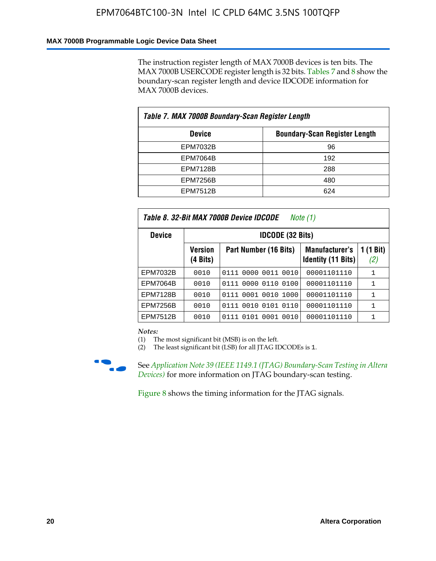#### **MAX 7000B Programmable Logic Device Data Sheet**

The instruction register length of MAX 7000B devices is ten bits. The MAX 7000B USERCODE register length is 32 bits. Tables 7 and 8 show the boundary-scan register length and device IDCODE information for MAX 7000B devices.

| Table 7. MAX 7000B Boundary-Scan Register Length |                                      |  |  |  |  |
|--------------------------------------------------|--------------------------------------|--|--|--|--|
| <b>Device</b>                                    | <b>Boundary-Scan Register Length</b> |  |  |  |  |
| <b>EPM7032B</b>                                  | 96                                   |  |  |  |  |
| <b>EPM7064B</b>                                  | 192                                  |  |  |  |  |
| <b>EPM7128B</b>                                  | 288                                  |  |  |  |  |
| <b>EPM7256B</b>                                  | 480                                  |  |  |  |  |
| <b>EPM7512B</b>                                  | 624                                  |  |  |  |  |

| Table 8. 32-Bit MAX 7000B Device IDCODE<br>Note (1) |                            |                           |                                             |                          |  |  |
|-----------------------------------------------------|----------------------------|---------------------------|---------------------------------------------|--------------------------|--|--|
| <b>Device</b>                                       | <b>IDCODE (32 Bits)</b>    |                           |                                             |                          |  |  |
|                                                     | <b>Version</b><br>(4 Bits) | Part Number (16 Bits)     | Manufacturer's<br><b>Identity (11 Bits)</b> | $(1 \text{ Bit})$<br>(2) |  |  |
| EPM7032B                                            | 0010                       | 0111 0000 0011 0010       | 00001101110                                 | 1                        |  |  |
| <b>EPM7064B</b>                                     | 0010                       | 0111 0000 0110 0100       | 00001101110                                 | 1                        |  |  |
| <b>EPM7128B</b>                                     | 0010                       | 0001 0010 1000<br>0111    | 00001101110                                 | 1                        |  |  |
| <b>EPM7256B</b>                                     | 0010                       | 0111 0010 0101 0110       | 00001101110                                 | 1                        |  |  |
| <b>EPM7512B</b>                                     | 0010                       | 0010<br>0111 0101<br>0001 | 00001101110                                 | 1                        |  |  |

*Notes:*

(1) The most significant bit (MSB) is on the left.

(2) The least significant bit (LSB) for all JTAG IDCODEs is 1.



**f See Application Note 39 (IEEE 1149.1 (JTAG) Boundary-Scan Testing in Altera** *Devices)* for more information on JTAG boundary-scan testing.

Figure 8 shows the timing information for the JTAG signals.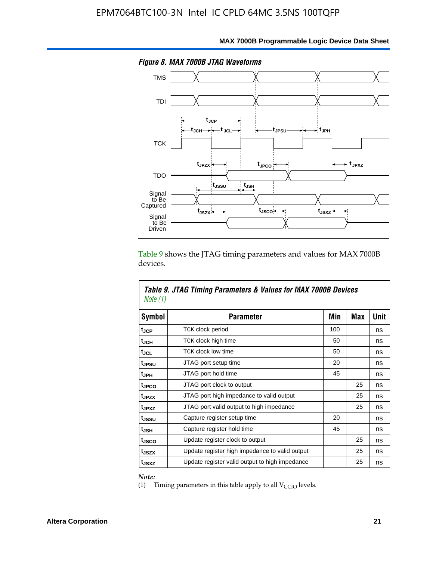

Table 9 shows the JTAG timing parameters and values for MAX 7000B devices.

| Note (1)           | Table 9. JTAG Timing Parameters & Values for MAX 7000B Devices |     |     |      |  |  |  |
|--------------------|----------------------------------------------------------------|-----|-----|------|--|--|--|
| Symbol             | <b>Parameter</b>                                               | Min | Max | Unit |  |  |  |
| t <sub>JCP</sub>   | TCK clock period                                               | 100 |     | ns   |  |  |  |
| t <sub>JCH</sub>   | TCK clock high time                                            | 50  |     | ns   |  |  |  |
| tjcl               | TCK clock low time                                             | 50  |     | ns   |  |  |  |
| tjesu              | JTAG port setup time                                           | 20  |     | ns   |  |  |  |
| t <sub>JPH</sub>   | JTAG port hold time                                            | 45  |     | ns   |  |  |  |
| tjpco              | JTAG port clock to output                                      |     | 25  | ns   |  |  |  |
| t <sub>JPZX</sub>  | JTAG port high impedance to valid output                       |     | 25  | ns   |  |  |  |
| t <sub>JPXZ</sub>  | JTAG port valid output to high impedance                       |     | 25  | ns   |  |  |  |
| tussu              | Capture register setup time                                    | 20  |     | ns   |  |  |  |
| $t_{\mathsf{JSH}}$ | Capture register hold time                                     | 45  |     | ns   |  |  |  |
| t <sub>JSCO</sub>  | Update register clock to output                                |     | 25  | ns   |  |  |  |
| t <sub>JSZX</sub>  | Update register high impedance to valid output                 |     | 25  | ns   |  |  |  |
| t <sub>JSXZ</sub>  | Update register valid output to high impedance                 |     | 25  | ns   |  |  |  |

*Note:*

Г

(1) Timing parameters in this table apply to all  $V_{\text{CCIO}}$  levels.

٦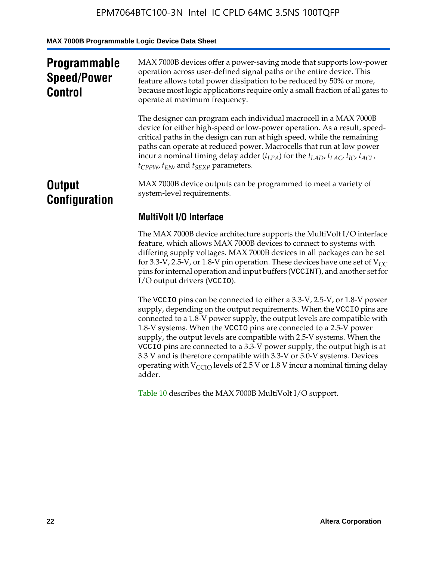**MAX 7000B Programmable Logic Device Data Sheet**

| <b>Programmable</b><br><b>Speed/Power</b><br><b>Control</b> | MAX 7000B devices offer a power-saving mode that supports low-power<br>operation across user-defined signal paths or the entire device. This<br>feature allows total power dissipation to be reduced by 50% or more,<br>because most logic applications require only a small fraction of all gates to<br>operate at maximum frequency.                                                                                                                          |
|-------------------------------------------------------------|-----------------------------------------------------------------------------------------------------------------------------------------------------------------------------------------------------------------------------------------------------------------------------------------------------------------------------------------------------------------------------------------------------------------------------------------------------------------|
|                                                             | The designer can program each individual macrocell in a MAX 7000B<br>device for either high-speed or low-power operation. As a result, speed-<br>critical paths in the design can run at high speed, while the remaining<br>paths can operate at reduced power. Macrocells that run at low power<br>incur a nominal timing delay adder $(t_{LPA})$ for the $t_{LAD}$ , $t_{LAC}$ , $t_{IC}$ , $t_{ACL}$ ,<br>$t_{CPPW}$ , $t_{EN}$ , and $t_{SEXP}$ parameters. |
| <b>Output</b><br><b>Configuration</b>                       | MAX 7000B device outputs can be programmed to meet a variety of<br>system-level requirements.                                                                                                                                                                                                                                                                                                                                                                   |
|                                                             | <b>MultiVolt I/O Interface</b>                                                                                                                                                                                                                                                                                                                                                                                                                                  |
|                                                             | The MAX 7000B device architecture supports the MultiVolt I/O interface<br>feature, which allows MAX 7000B devices to connect to systems with<br>differing supply voltages. MAX 7000B devices in all packages can be set<br>for 3.3-V, 2.5-V, or 1.8-V pin operation. These devices have one set of $V_{CC}$<br>pins for internal operation and input buffers (VCCINT), and another set for<br>I/O output drivers (VCCIO).                                       |

The VCCIO pins can be connected to either a 3.3-V, 2.5-V, or 1.8-V power supply, depending on the output requirements. When the VCCIO pins are connected to a 1.8-V power supply, the output levels are compatible with 1.8-V systems. When the VCCIO pins are connected to a 2.5- $\hat{V}$  power supply, the output levels are compatible with 2.5-V systems. When the VCCIO pins are connected to a 3.3-V power supply, the output high is at 3.3 V and is therefore compatible with 3.3-V or 5.0-V systems. Devices operating with  $V_{\text{CCIO}}$  levels of 2.5 V or 1.8 V incur a nominal timing delay adder.

Table 10 describes the MAX 7000B MultiVolt I/O support.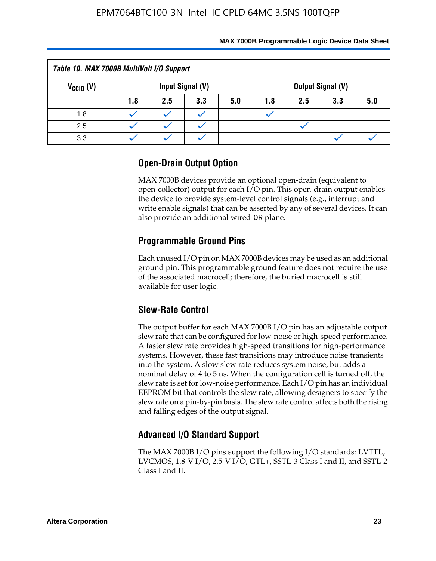| Table 10. MAX 7000B MultiVolt I/O Support                            |     |     |     |     |     |     |     |     |
|----------------------------------------------------------------------|-----|-----|-----|-----|-----|-----|-----|-----|
| $V_{\text{CCIO}}(V)$<br>Input Signal (V)<br><b>Output Signal (V)</b> |     |     |     |     |     |     |     |     |
|                                                                      | 1.8 | 2.5 | 3.3 | 5.0 | 1.8 | 2.5 | 3.3 | 5.0 |
| 1.8                                                                  |     |     |     |     |     |     |     |     |
| 2.5                                                                  |     |     |     |     |     |     |     |     |
| 3.3                                                                  |     |     |     |     |     |     |     |     |

# **Open-Drain Output Option**

MAX 7000B devices provide an optional open-drain (equivalent to open-collector) output for each I/O pin. This open-drain output enables the device to provide system-level control signals (e.g., interrupt and write enable signals) that can be asserted by any of several devices. It can also provide an additional wired-OR plane.

# **Programmable Ground Pins**

Each unused I/O pin on MAX 7000B devices may be used as an additional ground pin. This programmable ground feature does not require the use of the associated macrocell; therefore, the buried macrocell is still available for user logic.

# **Slew-Rate Control**

The output buffer for each MAX 7000B I/O pin has an adjustable output slew rate that can be configured for low-noise or high-speed performance. A faster slew rate provides high-speed transitions for high-performance systems. However, these fast transitions may introduce noise transients into the system. A slow slew rate reduces system noise, but adds a nominal delay of 4 to 5 ns. When the configuration cell is turned off, the slew rate is set for low-noise performance. Each I/O pin has an individual EEPROM bit that controls the slew rate, allowing designers to specify the slew rate on a pin-by-pin basis. The slew rate control affects both the rising and falling edges of the output signal.

# **Advanced I/O Standard Support**

The MAX 7000B I/O pins support the following I/O standards: LVTTL, LVCMOS, 1.8-V I/O, 2.5-V I/O, GTL+, SSTL-3 Class I and II, and SSTL-2 Class I and II.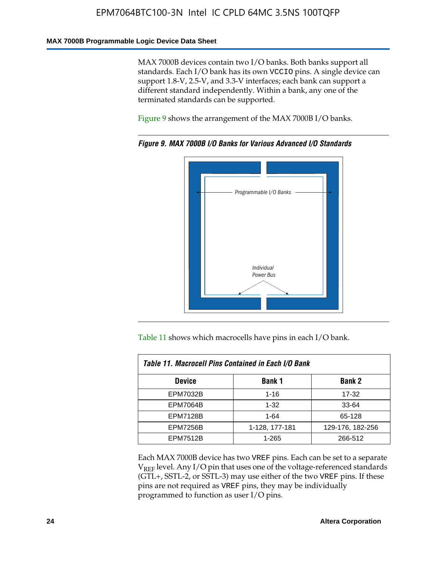#### **MAX 7000B Programmable Logic Device Data Sheet**

MAX 7000B devices contain two I/O banks. Both banks support all standards. Each I/O bank has its own VCCIO pins. A single device can support 1.8-V, 2.5-V, and 3.3-V interfaces; each bank can support a different standard independently. Within a bank, any one of the terminated standards can be supported.

Figure 9 shows the arrangement of the MAX 7000B I/O banks.



*Figure 9. MAX 7000B I/O Banks for Various Advanced I/O Standards*

Table 11 shows which macrocells have pins in each I/O bank.

| Table 11. Macrocell Pins Contained in Each I/O Bank |                |                  |  |  |
|-----------------------------------------------------|----------------|------------------|--|--|
| <b>Device</b>                                       | Bank 1         | <b>Bank 2</b>    |  |  |
| <b>EPM7032B</b>                                     | $1 - 16$       | 17-32            |  |  |
| <b>EPM7064B</b>                                     | $1 - 32$       | 33-64            |  |  |
| <b>EPM7128B</b>                                     | $1 - 64$       | 65-128           |  |  |
| <b>EPM7256B</b>                                     | 1-128, 177-181 | 129-176, 182-256 |  |  |
| <b>EPM7512B</b>                                     | 1-265          | 266-512          |  |  |

Each MAX 7000B device has two VREF pins. Each can be set to a separate  $V_{REF}$  level. Any I/O pin that uses one of the voltage-referenced standards (GTL+, SSTL-2, or SSTL-3) may use either of the two VREF pins. If these pins are not required as VREF pins, they may be individually programmed to function as user I/O pins.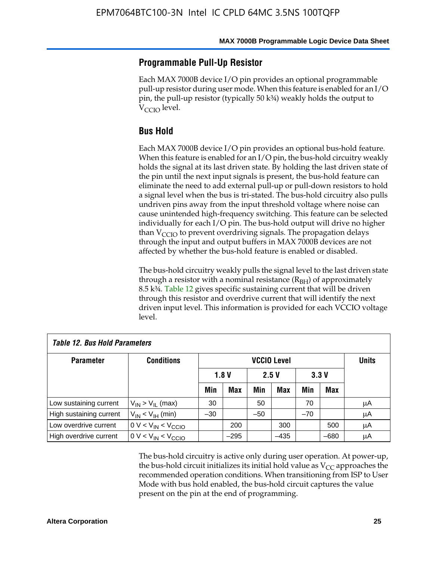### **Programmable Pull-Up Resistor**

Each MAX 7000B device I/O pin provides an optional programmable pull-up resistor during user mode. When this feature is enabled for an I/O pin, the pull-up resistor (typically 50 k¾) weakly holds the output to  $V_{\text{CCIO}}$  level.

### **Bus Hold**

Each MAX 7000B device I/O pin provides an optional bus-hold feature. When this feature is enabled for an I/O pin, the bus-hold circuitry weakly holds the signal at its last driven state. By holding the last driven state of the pin until the next input signals is present, the bus-hold feature can eliminate the need to add external pull-up or pull-down resistors to hold a signal level when the bus is tri-stated. The bus-hold circuitry also pulls undriven pins away from the input threshold voltage where noise can cause unintended high-frequency switching. This feature can be selected individually for each I/O pin. The bus-hold output will drive no higher than  $V_{\text{C}CD}$  to prevent overdriving signals. The propagation delays through the input and output buffers in MAX 7000B devices are not affected by whether the bus-hold feature is enabled or disabled.

The bus-hold circuitry weakly pulls the signal level to the last driven state through a resistor with a nominal resistance  $(R<sub>BH</sub>)$  of approximately 8.5 k¾. Table 12 gives specific sustaining current that will be driven through this resistor and overdrive current that will identify the next driven input level. This information is provided for each VCCIO voltage level.

| <b>Table 12. Bus Hold Parameters</b> |                           |                    |            |       |              |       |        |    |
|--------------------------------------|---------------------------|--------------------|------------|-------|--------------|-------|--------|----|
| <b>Parameter</b>                     | <b>Conditions</b>         | <b>VCCIO Level</b> |            |       | <b>Units</b> |       |        |    |
|                                      |                           |                    | 1.8V       |       | 2.5V         | 3.3V  |        |    |
|                                      |                           | Min                | <b>Max</b> | Min   | Max          | Min   | Max    |    |
| Low sustaining current               | $V_{IN}$ > $V_{II}$ (max) | 30                 |            | 50    |              | 70    |        | μA |
| High sustaining current              | $V_{IN}$ < $V_{IH}$ (min) | $-30$              |            | $-50$ |              | $-70$ |        | μA |
| Low overdrive current                | $0 V < V_{IN} < V_{CCIO}$ |                    | 200        |       | 300          |       | 500    | μA |
| High overdrive current               | $0 V < V_{IN} < V_{CCIO}$ |                    | $-295$     |       | $-435$       |       | $-680$ | μA |

The bus-hold circuitry is active only during user operation. At power-up, the bus-hold circuit initializes its initial hold value as  $V_{CC}$  approaches the recommended operation conditions. When transitioning from ISP to User Mode with bus hold enabled, the bus-hold circuit captures the value present on the pin at the end of programming.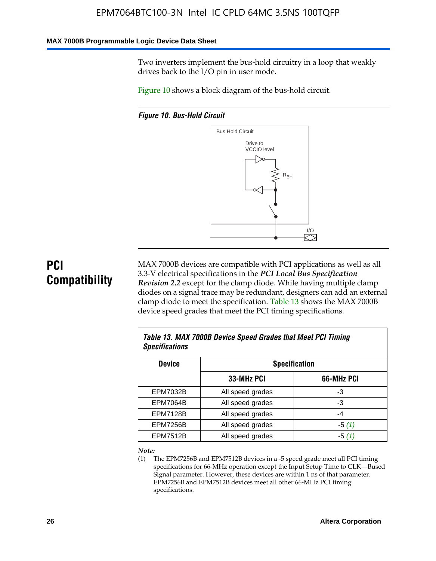#### **MAX 7000B Programmable Logic Device Data Sheet**

Two inverters implement the bus-hold circuitry in a loop that weakly drives back to the I/O pin in user mode.

Figure 10 shows a block diagram of the bus-hold circuit.

*Figure 10. Bus-Hold Circuit*



# **PCI Compatibility**

MAX 7000B devices are compatible with PCI applications as well as all 3.3-V electrical specifications in the *PCI Local Bus Specification Revision 2.2* except for the clamp diode. While having multiple clamp diodes on a signal trace may be redundant, designers can add an external clamp diode to meet the specification. Table 13 shows the MAX 7000B device speed grades that meet the PCI timing specifications.

| Table 13. MAX 7000B Device Speed Grades that Meet PCI Timing<br><b>Specifications</b> |                  |            |  |  |  |
|---------------------------------------------------------------------------------------|------------------|------------|--|--|--|
| <b>Device</b><br><b>Specification</b>                                                 |                  |            |  |  |  |
|                                                                                       | 33-MHz PCI       | 66-MHz PCI |  |  |  |
| <b>EPM7032B</b>                                                                       | All speed grades | -3         |  |  |  |
| <b>EPM7064B</b>                                                                       | All speed grades | -3         |  |  |  |
| <b>EPM7128B</b>                                                                       | All speed grades | -4         |  |  |  |
| <b>EPM7256B</b>                                                                       | All speed grades | $-5(1)$    |  |  |  |
| <b>EPM7512B</b>                                                                       | All speed grades | -5 (1)     |  |  |  |

#### *Note:*

(1) The EPM7256B and EPM7512B devices in a -5 speed grade meet all PCI timing specifications for 66-MHz operation except the Input Setup Time to CLK—Bused Signal parameter. However, these devices are within 1 ns of that parameter. EPM7256B and EPM7512B devices meet all other 66-MHz PCI timing specifications.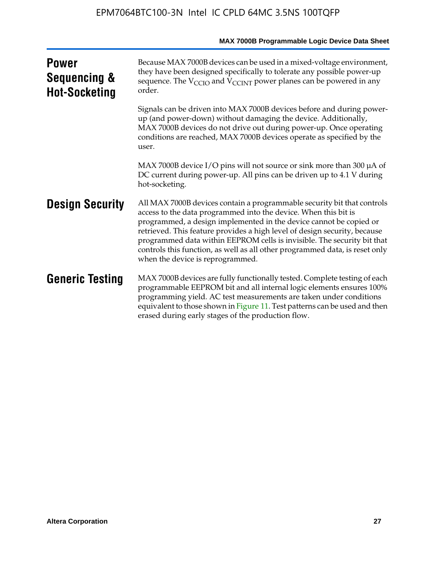|                                                      | MAX 7000B Programmable Logic Device Data Sheet                                                                                                                                                                                                                                                                                                                                                                                                                                              |
|------------------------------------------------------|---------------------------------------------------------------------------------------------------------------------------------------------------------------------------------------------------------------------------------------------------------------------------------------------------------------------------------------------------------------------------------------------------------------------------------------------------------------------------------------------|
| <b>Power</b><br>Sequencing &<br><b>Hot-Socketing</b> | Because MAX 7000B devices can be used in a mixed-voltage environment,<br>they have been designed specifically to tolerate any possible power-up<br>sequence. The $V_{\text{CCIO}}$ and $V_{\text{CCINT}}$ power planes can be powered in any<br>order.                                                                                                                                                                                                                                      |
|                                                      | Signals can be driven into MAX 7000B devices before and during power-<br>up (and power-down) without damaging the device. Additionally,<br>MAX 7000B devices do not drive out during power-up. Once operating<br>conditions are reached, MAX 7000B devices operate as specified by the<br>user.                                                                                                                                                                                             |
|                                                      | MAX 7000B device I/O pins will not source or sink more than 300 µA of<br>DC current during power-up. All pins can be driven up to 4.1 V during<br>hot-socketing.                                                                                                                                                                                                                                                                                                                            |
| <b>Design Security</b>                               | All MAX 7000B devices contain a programmable security bit that controls<br>access to the data programmed into the device. When this bit is<br>programmed, a design implemented in the device cannot be copied or<br>retrieved. This feature provides a high level of design security, because<br>programmed data within EEPROM cells is invisible. The security bit that<br>controls this function, as well as all other programmed data, is reset only<br>when the device is reprogrammed. |
| <b>Generic Testing</b>                               | MAX 7000B devices are fully functionally tested. Complete testing of each<br>programmable EEPROM bit and all internal logic elements ensures 100%<br>programming yield. AC test measurements are taken under conditions<br>equivalent to those shown in Figure 11. Test patterns can be used and then<br>erased during early stages of the production flow.                                                                                                                                 |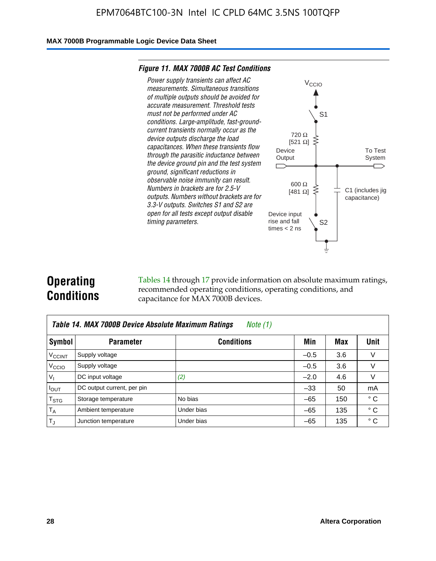#### **MAX 7000B Programmable Logic Device Data Sheet**

#### *Figure 11. MAX 7000B AC Test Conditions*



# **Operating Conditions**

Tables 14 through 17 provide information on absolute maximum ratings, recommended operating conditions, operating conditions, and capacitance for MAX 7000B devices.

| Table 14. MAX 7000B Device Absolute Maximum Ratings<br>Note $(1)$ |                            |                   |        |     |              |  |  |  |
|-------------------------------------------------------------------|----------------------------|-------------------|--------|-----|--------------|--|--|--|
| Symbol                                                            | <b>Parameter</b>           | <b>Conditions</b> | Min    | Max | Unit         |  |  |  |
| <b>V<sub>CCINT</sub></b>                                          | Supply voltage             |                   | $-0.5$ | 3.6 | v            |  |  |  |
| V <sub>CCIO</sub>                                                 | Supply voltage             |                   | $-0.5$ | 3.6 | $\vee$       |  |  |  |
| $V_1$                                                             | DC input voltage           | (2)               | $-2.0$ | 4.6 | V            |  |  |  |
| $I_{OUT}$                                                         | DC output current, per pin |                   | $-33$  | 50  | mA           |  |  |  |
| $T_{STG}$                                                         | Storage temperature        | No bias           | $-65$  | 150 | $^{\circ}$ C |  |  |  |
| $T_A$                                                             | Ambient temperature        | Under bias        | $-65$  | 135 | $^{\circ}$ C |  |  |  |
| $T_{\text{J}}$                                                    | Junction temperature       | Under bias        | $-65$  | 135 | ° C          |  |  |  |

To Test System

 $\overline{\phantom{a}}$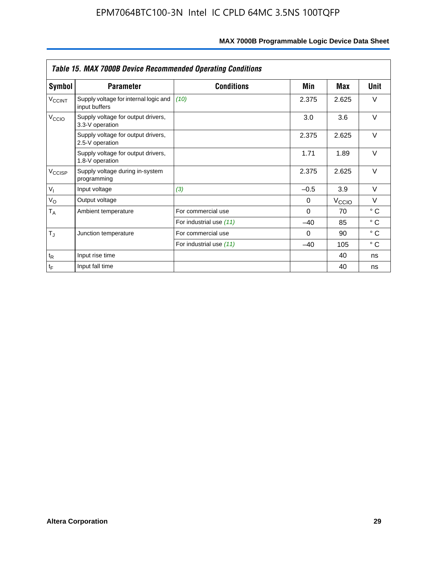| <b>Table 15. MAX 7000B Device Recommended Operating Conditions</b> |                                                        |                         |          |                   |              |  |  |
|--------------------------------------------------------------------|--------------------------------------------------------|-------------------------|----------|-------------------|--------------|--|--|
| Symbol                                                             | <b>Parameter</b>                                       | <b>Conditions</b>       | Min      | Max               | Unit         |  |  |
| $V_{\text{CCINT}}$                                                 | Supply voltage for internal logic and<br>input buffers | (10)                    | 2.375    | 2.625             | $\vee$       |  |  |
| V <sub>CCIO</sub>                                                  | Supply voltage for output drivers,<br>3.3-V operation  |                         | 3.0      | 3.6               | $\vee$       |  |  |
|                                                                    | Supply voltage for output drivers,<br>2.5-V operation  |                         | 2.375    | 2.625             | $\vee$       |  |  |
|                                                                    | Supply voltage for output drivers,<br>1.8-V operation  |                         | 1.71     | 1.89              | $\vee$       |  |  |
| V <sub>CCISP</sub>                                                 | Supply voltage during in-system<br>programming         |                         | 2.375    | 2.625             | $\vee$       |  |  |
| $V_{I}$                                                            | Input voltage                                          | (3)                     | $-0.5$   | 3.9               | $\vee$       |  |  |
| $V_{\rm O}$                                                        | Output voltage                                         |                         | 0        | V <sub>CCIO</sub> | $\vee$       |  |  |
| $T_A$                                                              | Ambient temperature                                    | For commercial use      | $\Omega$ | 70                | $^{\circ}$ C |  |  |
|                                                                    |                                                        | For industrial use (11) | $-40$    | 85                | $^{\circ}$ C |  |  |
| $T_J$                                                              | Junction temperature                                   | For commercial use      | $\Omega$ | 90                | $^{\circ}$ C |  |  |
|                                                                    |                                                        | For industrial use (11) | $-40$    | 105               | ° C          |  |  |
| $t_{R}$                                                            | Input rise time                                        |                         |          | 40                | ns           |  |  |
| $t_F$                                                              | Input fall time                                        |                         |          | 40                | ns           |  |  |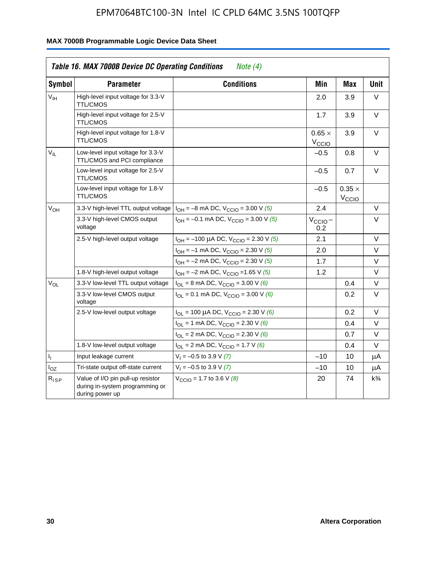|                 | <b>Table 16. MAX 7000B Device DC Operating Conditions</b>                               | Note $(4)$                                                                        |                                    |                                    |                |
|-----------------|-----------------------------------------------------------------------------------------|-----------------------------------------------------------------------------------|------------------------------------|------------------------------------|----------------|
| <b>Symbol</b>   | <b>Parameter</b>                                                                        | <b>Conditions</b>                                                                 | Min                                | <b>Max</b>                         | <b>Unit</b>    |
| $V_{\text{IH}}$ | High-level input voltage for 3.3-V<br><b>TTL/CMOS</b>                                   |                                                                                   | 2.0                                | 3.9                                | V              |
|                 | High-level input voltage for 2.5-V<br><b>TTL/CMOS</b>                                   |                                                                                   | 1.7                                | 3.9                                | V              |
|                 | High-level input voltage for 1.8-V<br><b>TTL/CMOS</b>                                   |                                                                                   | $0.65 \times$<br>$V_{\text{CCIQ}}$ | 3.9                                | $\vee$         |
| $V_{\rm H}$     | Low-level input voltage for 3.3-V<br>TTL/CMOS and PCI compliance                        |                                                                                   | $-0.5$                             | 0.8                                | V              |
|                 | Low-level input voltage for 2.5-V<br><b>TTL/CMOS</b>                                    |                                                                                   | $-0.5$                             | 0.7                                | V              |
|                 | Low-level input voltage for 1.8-V<br><b>TTL/CMOS</b>                                    |                                                                                   | $-0.5$                             | $0.35 \times$<br>V <sub>CCIO</sub> |                |
| $V_{OH}$        | 3.3-V high-level TTL output voltage                                                     | $I_{OH} = -8$ mA DC, $V_{CCIO} = 3.00$ V (5)                                      | 2.4                                |                                    | V              |
|                 | 3.3-V high-level CMOS output<br>voltage                                                 | $I_{OH} = -0.1$ mA DC, $V_{CCIO} = 3.00$ V (5)                                    | $V_{\text{CCIO}}-$<br>0.2          |                                    | $\vee$         |
|                 | 2.5-V high-level output voltage                                                         | $I_{OH}$ = -100 µA DC, $V_{CClO}$ = 2.30 V (5)                                    | 2.1                                |                                    | $\vee$         |
|                 |                                                                                         | $I_{OH} = -1$ mA DC, $V_{CClO} = 2.30$ V (5)                                      | 2.0                                |                                    | V              |
|                 |                                                                                         | $I_{OH} = -2$ mA DC, $V_{CCIO} = 2.30$ V (5)                                      | 1.7                                |                                    | V              |
|                 | 1.8-V high-level output voltage                                                         | $I_{OH} = -2$ mA DC, $V_{CCIO} = 1.65$ V (5)                                      | 1.2                                |                                    | V              |
| $V_{OL}$        | 3.3-V low-level TTL output voltage                                                      | $I_{OL}$ = 8 mA DC, $V_{CCIO}$ = 3.00 V (6)                                       |                                    | 0.4                                | V              |
|                 | 3.3-V low-level CMOS output<br>voltage                                                  | $I_{\text{OI}} = 0.1 \text{ mA DC}$ , $V_{\text{CCl}\Omega} = 3.00 \text{ V}$ (6) |                                    | 0.2                                | $\vee$         |
|                 | 2.5-V low-level output voltage                                                          | $I_{OL}$ = 100 µA DC, $V_{CClO}$ = 2.30 V (6)                                     |                                    | 0.2                                | V              |
|                 |                                                                                         | $I_{OL}$ = 1 mA DC, $V_{CCIO}$ = 2.30 V (6)                                       |                                    | 0.4                                | V              |
|                 |                                                                                         | $I_{OL}$ = 2 mA DC, $V_{CCIO}$ = 2.30 V (6)                                       |                                    | 0.7                                | V              |
|                 | 1.8-V low-level output voltage                                                          | $I_{OL}$ = 2 mA DC, $V_{CCIO}$ = 1.7 V (6)                                        |                                    | 0.4                                | $\vee$         |
| 4               | Input leakage current                                                                   | $V_1 = -0.5$ to 3.9 V (7)                                                         | $-10$                              | 10                                 | μA             |
| $I_{OZ}$        | Tri-state output off-state current                                                      | $V_1 = -0.5$ to 3.9 V (7)                                                         | $-10$                              | 10                                 | μA             |
| $R_{ISP}$       | Value of I/O pin pull-up resistor<br>during in-system programming or<br>during power up | $V_{\text{CCIO}} = 1.7$ to 3.6 V (8)                                              | 20                                 | 74                                 | $k\frac{3}{4}$ |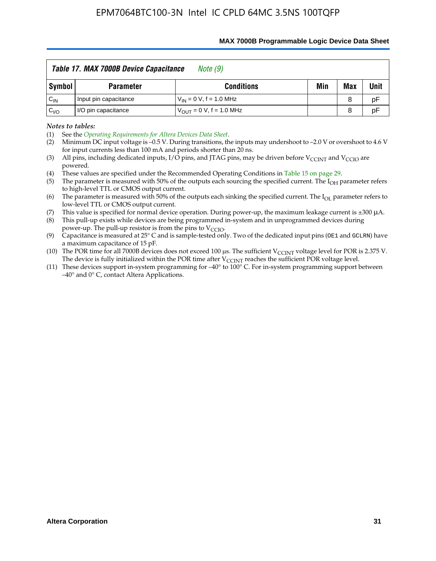|          | Table 17. MAX 7000B Device Capacitance<br>Note (9) |                                |     |            |      |  |  |
|----------|----------------------------------------------------|--------------------------------|-----|------------|------|--|--|
| Symbol   | Parameter                                          | <b>Conditions</b>              | Min | <b>Max</b> | Unit |  |  |
| $C_{IN}$ | Input pin capacitance                              | $V_{IN} = 0 V$ , f = 1.0 MHz   |     | 8          | pF   |  |  |
| $C_{VQ}$ | I/O pin capacitance                                | $V_{OIII} = 0 V$ , f = 1.0 MHz |     | 8          | pF   |  |  |

#### **MAX 7000B Programmable Logic Device Data Sheet**

*Notes to tables:*

(3) All pins, including dedicated inputs, I/O pins, and JTAG pins, may be driven before V<sub>CCINT</sub> and V<sub>CCIO</sub> are powered.

(4) These values are specified under the Recommended Operating Conditions in Table 15 on page 29.

(5) The parameter is measured with 50% of the outputs each sourcing the specified current. The  $I_{OH}$  parameter refers to high-level TTL or CMOS output current.

(6) The parameter is measured with 50% of the outputs each sinking the specified current. The  $I_{OL}$  parameter refers to low-level TTL or CMOS output current.

This value is specified for normal device operation. During power-up, the maximum leakage current is  $\pm 300$   $\mu$ A.

(7) This value is specified for normal device operation. During power-up, the maximum leakage current is  $\pm 3$  (8) This pull-up exists while devices are being programmed in-system and in unprogrammed devices during power-up. The pull-up resistor is from the pins to  $V_{\text{CCIO}}$ .

(9) Capacitance is measured at 25° C and is sample-tested only. Two of the dedicated input pins (OE1 and GCLRN) have a maximum capacitance of 15 pF.

(10) The POR time for all 7000B devices does not exceed 100 μs. The sufficient  $V_{\text{CCINT}}$  voltage level for POR is 2.375 V.

The device is fully initialized within the POR time after  $V_{\text{CCINT}}$  reaches the sufficient POR voltage level.<br>(11) These devices support in-system programming for  $-40^{\circ}$  to 100° C. For in-system programming support be –40° and 0° C, contact Altera Applications.

<sup>(1)</sup> See the *Operating Requirements for Altera Devices Data Sheet*.

<sup>(2)</sup> Minimum DC input voltage is –0.5 V. During transitions, the inputs may undershoot to –2.0 V or overshoot to 4.6 V for input currents less than 100 mA and periods shorter than 20 ns.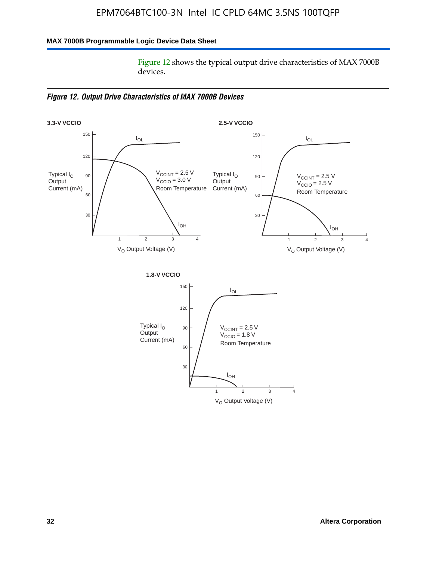### **MAX 7000B Programmable Logic Device Data Sheet**

Figure 12 shows the typical output drive characteristics of MAX 7000B devices.

*Figure 12. Output Drive Characteristics of MAX 7000B Devices*

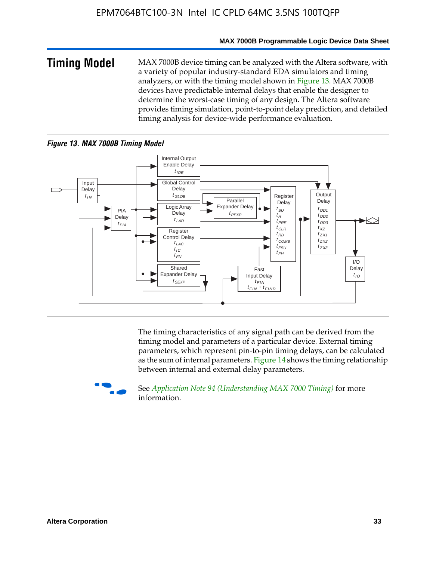#### **MAX 7000B Programmable Logic Device Data Sheet**

**Timing Model** MAX 7000B device timing can be analyzed with the Altera software, with a variety of popular industry-standard EDA simulators and timing analyzers, or with the timing model shown in Figure 13. MAX 7000B devices have predictable internal delays that enable the designer to determine the worst-case timing of any design. The Altera software provides timing simulation, point-to-point delay prediction, and detailed timing analysis for device-wide performance evaluation.

#### *Figure 13. MAX 7000B Timing Model*



The timing characteristics of any signal path can be derived from the timing model and parameters of a particular device. External timing parameters, which represent pin-to-pin timing delays, can be calculated as the sum of internal parameters. Figure 14 shows the timing relationship between internal and external delay parameters.



f See *Application Note 94 (Understanding MAX 7000 Timing)* for more information.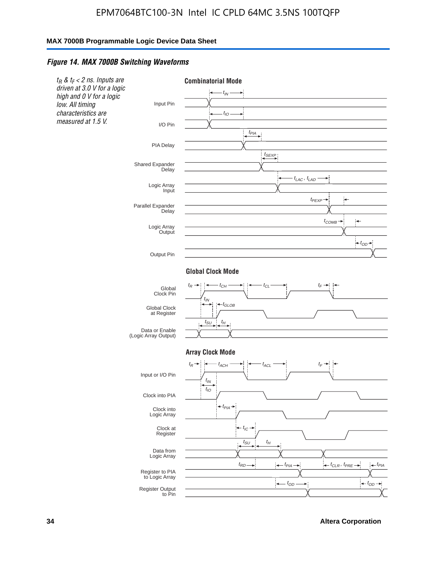#### *Figure 14. MAX 7000B Switching Waveforms*



**34 Altera Corporation**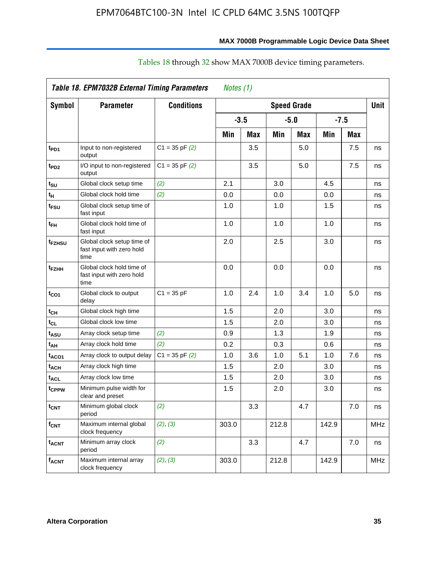| Table 18. EPM7032B External Timing Parameters<br>Notes (1) |                                                                 |                    |        |            |                    |            |       |            |            |  |
|------------------------------------------------------------|-----------------------------------------------------------------|--------------------|--------|------------|--------------------|------------|-------|------------|------------|--|
| <b>Symbol</b>                                              | <b>Parameter</b>                                                | <b>Conditions</b>  |        |            | <b>Speed Grade</b> |            |       |            | Unit       |  |
|                                                            |                                                                 |                    | $-3.5$ |            | $-5.0$             |            |       | $-7.5$     |            |  |
|                                                            |                                                                 |                    | Min    | <b>Max</b> | Min                | <b>Max</b> | Min   | <b>Max</b> |            |  |
| t <sub>PD1</sub>                                           | Input to non-registered<br>output                               | $C1 = 35$ pF $(2)$ |        | 3.5        |                    | 5.0        |       | 7.5        | ns         |  |
| t <sub>PD2</sub>                                           | I/O input to non-registered<br>output                           | $C1 = 35$ pF $(2)$ |        | 3.5        |                    | 5.0        |       | 7.5        | ns         |  |
| t <sub>SU</sub>                                            | Global clock setup time                                         | (2)                | 2.1    |            | 3.0                |            | 4.5   |            | ns         |  |
| t <sub>H</sub>                                             | Global clock hold time                                          | (2)                | 0.0    |            | 0.0                |            | 0.0   |            | ns         |  |
| t <sub>FSU</sub>                                           | Global clock setup time of<br>fast input                        |                    | 1.0    |            | 1.0                |            | 1.5   |            | ns         |  |
| t <sub>FH</sub>                                            | Global clock hold time of<br>fast input                         |                    | 1.0    |            | 1.0                |            | 1.0   |            | ns         |  |
| t <sub>FZHSU</sub>                                         | Global clock setup time of<br>fast input with zero hold<br>time |                    | 2.0    |            | 2.5                |            | 3.0   |            | ns         |  |
| t <sub>FZHH</sub>                                          | Global clock hold time of<br>fast input with zero hold<br>time  |                    | 0.0    |            | 0.0                |            | 0.0   |            | ns         |  |
| t <sub>CO1</sub>                                           | Global clock to output<br>delay                                 | $C1 = 35 pF$       | 1.0    | 2.4        | 1.0                | 3.4        | 1.0   | 5.0        | ns         |  |
| t <sub>СН</sub>                                            | Global clock high time                                          |                    | 1.5    |            | 2.0                |            | 3.0   |            | ns         |  |
| $t_{\scriptstyle\rm CL}$                                   | Global clock low time                                           |                    | 1.5    |            | 2.0                |            | 3.0   |            | ns         |  |
| t <sub>ASU</sub>                                           | Array clock setup time                                          | (2)                | 0.9    |            | 1.3                |            | 1.9   |            | ns         |  |
| t <sub>AH</sub>                                            | Array clock hold time                                           | (2)                | 0.2    |            | 0.3                |            | 0.6   |            | ns         |  |
| t <sub>ACO1</sub>                                          | Array clock to output delay                                     | $C1 = 35$ pF $(2)$ | 1.0    | 3.6        | 1.0                | 5.1        | 1.0   | 7.6        | ns         |  |
| t <sub>АСН</sub>                                           | Array clock high time                                           |                    | 1.5    |            | 2.0                |            | 3.0   |            | ns         |  |
| $\mathfrak{t}_{\sf{ACL}}$                                  | Array clock low time                                            |                    | 1.5    |            | 2.0                |            | 3.0   |            | ns         |  |
| t <sub>CPPW</sub>                                          | Minimum pulse width for<br>clear and preset                     |                    | 1.5    |            | 2.0                |            | 3.0   |            | ns         |  |
| t <sub>CNT</sub>                                           | Minimum global clock<br>period                                  | (2)                |        | 3.3        |                    | 4.7        |       | 7.0        | ns         |  |
| f <sub>СNT</sub>                                           | Maximum internal global<br>clock frequency                      | (2), (3)           | 303.0  |            | 212.8              |            | 142.9 |            | <b>MHz</b> |  |
| t <sub>acnt</sub>                                          | Minimum array clock<br>period                                   | (2)                |        | 3.3        |                    | 4.7        |       | 7.0        | ns         |  |
| f <sub>acnt</sub>                                          | Maximum internal array<br>clock frequency                       | (2), (3)           | 303.0  |            | 212.8              |            | 142.9 |            | <b>MHz</b> |  |

# Tables 18 through 32 show MAX 7000B device timing parameters.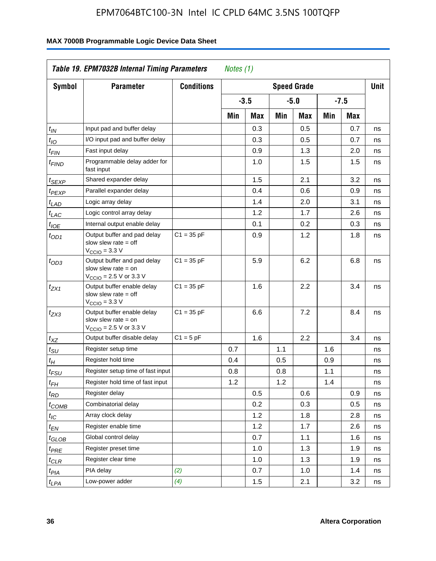| <b>Symbol</b>               | <b>Parameter</b>                                                                                           | <b>Conditions</b> |     |        |     | <b>Speed Grade</b> |     |            | <b>Unit</b> |
|-----------------------------|------------------------------------------------------------------------------------------------------------|-------------------|-----|--------|-----|--------------------|-----|------------|-------------|
|                             |                                                                                                            |                   |     | $-3.5$ |     | $-5.0$             |     | $-7.5$     |             |
|                             |                                                                                                            |                   | Min | Max    | Min | Max                | Min | <b>Max</b> |             |
| $t_{\mathsf{IN}}$           | Input pad and buffer delay                                                                                 |                   |     | 0.3    |     | 0.5                |     | 0.7        | ns          |
| $t_{IO}$                    | I/O input pad and buffer delay                                                                             |                   |     | 0.3    |     | 0.5                |     | 0.7        | ns          |
| $t_{\sf FIN}$               | Fast input delay                                                                                           |                   |     | 0.9    |     | 1.3                |     | 2.0        | ns          |
| <sup>t</sup> FIND           | Programmable delay adder for<br>fast input                                                                 |                   |     | 1.0    |     | 1.5                |     | 1.5        | ns          |
| t <sub>SEXP</sub>           | Shared expander delay                                                                                      |                   |     | 1.5    |     | 2.1                |     | 3.2        | ns          |
| t <sub>PEXP</sub>           | Parallel expander delay                                                                                    |                   |     | 0.4    |     | 0.6                |     | 0.9        | ns          |
| t <sub>LAD</sub>            | Logic array delay                                                                                          |                   |     | 1.4    |     | 2.0                |     | 3.1        | ns          |
| $t_{LAC}$                   | Logic control array delay                                                                                  |                   |     | 1.2    |     | 1.7                |     | 2.6        | ns          |
| $t_{\mathit{IOE}}$          | Internal output enable delay                                                                               |                   |     | 0.1    |     | 0.2                |     | 0.3        | ns          |
| $t_{OD1}$                   | Output buffer and pad delay<br>slow slew rate $=$ off<br>V <sub>CCIO</sub> = 3.3 V                         | $C1 = 35 pF$      |     | 0.9    |     | 1.2                |     | 1.8        | ns          |
| $t_{OD3}$                   | Output buffer and pad delay<br>slow slew rate $=$ on<br>V <sub>CCIO</sub> = 2.5 V or 3.3 V                 | $C1 = 35 pF$      |     | 5.9    |     | 6.2                |     | 6.8        | ns          |
| $t_{ZX1}$                   | Output buffer enable delay<br>slow slew rate $=$ off<br>$V_{\text{CCIO}} = 3.3 \text{ V}$                  | $C1 = 35 pF$      |     | 1.6    |     | 2.2                |     | 3.4        | ns          |
| $t_{ZX3}$                   | Output buffer enable delay<br>slow slew rate $=$ on<br>$V_{\text{CCIO}} = 2.5 \text{ V or } 3.3 \text{ V}$ | $C1 = 35 pF$      |     | 6.6    |     | 7.2                |     | 8.4        | ns          |
| $t_{XZ}$                    | Output buffer disable delay                                                                                | $C1 = 5pF$        |     | 1.6    |     | 2.2                |     | 3.4        | ns          |
| $t_{\scriptstyle\text{SU}}$ | Register setup time                                                                                        |                   | 0.7 |        | 1.1 |                    | 1.6 |            | ns          |
| t <sub>Η</sub>              | Register hold time                                                                                         |                   | 0.4 |        | 0.5 |                    | 0.9 |            | ns          |
| $t_{\mathit{FSU}}$          | Register setup time of fast input                                                                          |                   | 0.8 |        | 0.8 |                    | 1.1 |            | ns          |
| t <sub>FН</sub>             | Register hold time of fast input                                                                           |                   | 1.2 |        | 1.2 |                    | 1.4 |            | ns          |
| $t_{RD}$                    | Register delay                                                                                             |                   |     | 0.5    |     | 0.6                |     | 0.9        | ns          |
| $t_{COMB}$                  | Combinatorial delay                                                                                        |                   |     | 0.2    |     | 0.3                |     | 0.5        | ns          |
| $t_{\mathcal{IC}}$          | Array clock delay                                                                                          |                   |     | 1.2    |     | 1.8                |     | 2.8        | ns          |
| $t_{EN}$                    | Register enable time                                                                                       |                   |     | 1.2    |     | 1.7                |     | 2.6        | ns          |
| t <sub>GLOB</sub>           | Global control delay                                                                                       |                   |     | 0.7    |     | 1.1                |     | 1.6        | ns          |
| $t_{PRE}$                   | Register preset time                                                                                       |                   |     | 1.0    |     | 1.3                |     | 1.9        | ns          |
| $t_{\text{CLR}}$            | Register clear time                                                                                        |                   |     | 1.0    |     | 1.3                |     | 1.9        | ns          |
| t <sub>PIA</sub>            | PIA delay                                                                                                  | (2)               |     | 0.7    |     | 1.0                |     | 1.4        | ns          |
| t <sub>LPA</sub>            | Low-power adder                                                                                            | (4)               |     | 1.5    |     | 2.1                |     | 3.2        | ns          |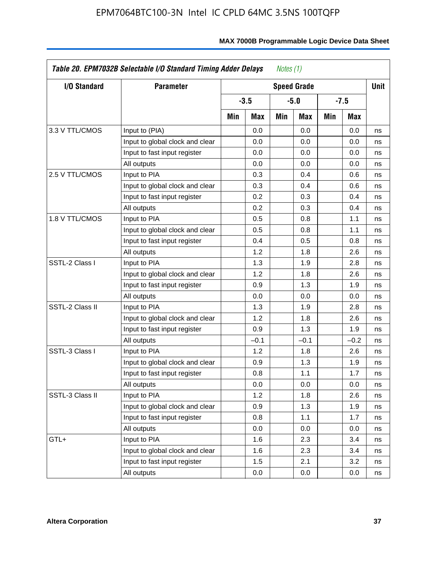| <b>I/O Standard</b> | <b>Parameter</b>                |     | <b>Speed Grade</b> |     |        |     | Unit   |    |
|---------------------|---------------------------------|-----|--------------------|-----|--------|-----|--------|----|
|                     |                                 |     | $-3.5$             |     | $-5.0$ |     | $-7.5$ |    |
|                     |                                 | Min | Max                | Min | Max    | Min | Max    |    |
| 3.3 V TTL/CMOS      | Input to (PIA)                  |     | 0.0                |     | 0.0    |     | 0.0    | ns |
|                     | Input to global clock and clear |     | 0.0                |     | 0.0    |     | 0.0    | ns |
|                     | Input to fast input register    |     | 0.0                |     | 0.0    |     | 0.0    | ns |
|                     | All outputs                     |     | 0.0                |     | 0.0    |     | 0.0    | ns |
| 2.5 V TTL/CMOS      | Input to PIA                    |     | 0.3                |     | 0.4    |     | 0.6    | ns |
|                     | Input to global clock and clear |     | 0.3                |     | 0.4    |     | 0.6    | ns |
|                     | Input to fast input register    |     | 0.2                |     | 0.3    |     | 0.4    | ns |
|                     | All outputs                     |     | 0.2                |     | 0.3    |     | 0.4    | ns |
| 1.8 V TTL/CMOS      | Input to PIA                    |     | 0.5                |     | 0.8    |     | 1.1    | ns |
|                     | Input to global clock and clear |     | 0.5                |     | 0.8    |     | 1.1    | ns |
|                     | Input to fast input register    |     | 0.4                |     | 0.5    |     | 0.8    | ns |
|                     | All outputs                     |     | 1.2                |     | 1.8    |     | 2.6    | ns |
| SSTL-2 Class I      | Input to PIA                    |     | 1.3                |     | 1.9    |     | 2.8    | ns |
|                     | Input to global clock and clear |     | 1.2                |     | 1.8    |     | 2.6    | ns |
|                     | Input to fast input register    |     | 0.9                |     | 1.3    |     | 1.9    | ns |
|                     | All outputs                     |     | 0.0                |     | 0.0    |     | 0.0    | ns |
| SSTL-2 Class II     | Input to PIA                    |     | 1.3                |     | 1.9    |     | 2.8    | ns |
|                     | Input to global clock and clear |     | 1.2                |     | 1.8    |     | 2.6    | ns |
|                     | Input to fast input register    |     | 0.9                |     | 1.3    |     | 1.9    | ns |
|                     | All outputs                     |     | $-0.1$             |     | $-0.1$ |     | $-0.2$ | ns |
| SSTL-3 Class I      | Input to PIA                    |     | 1.2                |     | 1.8    |     | 2.6    | ns |
|                     | Input to global clock and clear |     | 0.9                |     | 1.3    |     | 1.9    | ns |
|                     | Input to fast input register    |     | 0.8                |     | 1.1    |     | 1.7    | ns |
|                     | All outputs                     |     | 0.0                |     | 0.0    |     | 0.0    | ns |
| SSTL-3 Class II     | Input to PIA                    |     | 1.2                |     | 1.8    |     | 2.6    | ns |
|                     | Input to global clock and clear |     | 0.9                |     | 1.3    |     | 1.9    | ns |
|                     | Input to fast input register    |     | 0.8                |     | 1.1    |     | 1.7    | ns |
|                     | All outputs                     |     | 0.0                |     | 0.0    |     | 0.0    | ns |
| GTL+                | Input to PIA                    |     | 1.6                |     | 2.3    |     | 3.4    | ns |
|                     | Input to global clock and clear |     | 1.6                |     | 2.3    |     | 3.4    | ns |
|                     | Input to fast input register    |     | 1.5                |     | 2.1    |     | 3.2    | ns |
|                     | All outputs                     |     | 0.0                |     | 0.0    |     | 0.0    | ns |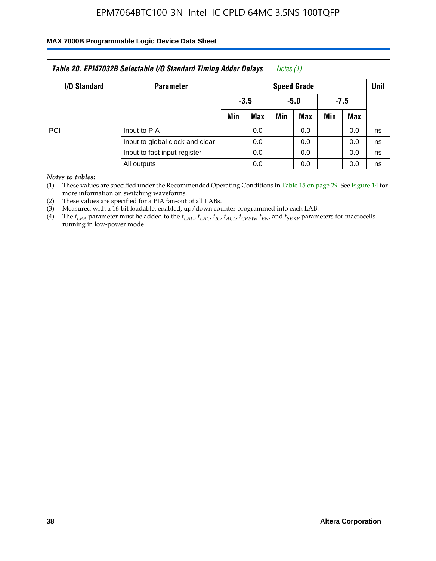### **MAX 7000B Programmable Logic Device Data Sheet**

| Table 20. EPM7032B Selectable I/O Standard Timing Adder Delays<br>Notes (1) |                                 |     |                    |      |            |        |     |    |  |  |  |
|-----------------------------------------------------------------------------|---------------------------------|-----|--------------------|------|------------|--------|-----|----|--|--|--|
| I/O Standard                                                                | <b>Parameter</b>                |     | <b>Speed Grade</b> |      |            |        |     |    |  |  |  |
|                                                                             |                                 |     | $-3.5$             | -5.0 |            | $-7.5$ |     |    |  |  |  |
|                                                                             |                                 | Min | <b>Max</b>         | Min  | <b>Max</b> | Min    | Max |    |  |  |  |
| PCI                                                                         | Input to PIA                    |     | 0.0                |      | 0.0        |        | 0.0 | ns |  |  |  |
|                                                                             | Input to global clock and clear |     | 0.0                |      | 0.0        |        | 0.0 | ns |  |  |  |
|                                                                             | Input to fast input register    |     | 0.0                |      | 0.0        |        | 0.0 | ns |  |  |  |
|                                                                             | All outputs                     |     | 0.0                |      | 0.0        |        | 0.0 | ns |  |  |  |

*Notes to tables:*

(1) These values are specified under the Recommended Operating Conditions in Table 15 on page 29. See Figure 14 for more information on switching waveforms.

(2) These values are specified for a PIA fan-out of all LABs.

(3) Measured with a 16-bit loadable, enabled, up/down counter programmed into each LAB.

(4) The *tLPA* parameter must be added to the *tLAD*, *tLAC*, *tIC*, *tACL*, *tCPPW*, *tEN*, and *tSEXP* parameters for macrocells running in low-power mode.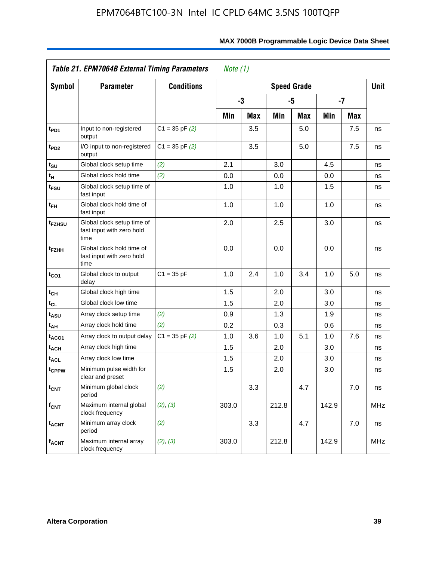|                             | Table 21. EPM7064B External Timing Parameters                   |                    | Note $(1)$ |            |       |                    |       |     |            |
|-----------------------------|-----------------------------------------------------------------|--------------------|------------|------------|-------|--------------------|-------|-----|------------|
| <b>Symbol</b>               | <b>Parameter</b>                                                | <b>Conditions</b>  |            |            |       | <b>Speed Grade</b> |       |     | Unit       |
|                             |                                                                 |                    |            | -3         |       | -5                 | $-7$  |     |            |
|                             |                                                                 |                    | Min        | <b>Max</b> | Min   | Max                | Min   | Max |            |
| t <sub>PD1</sub>            | Input to non-registered<br>output                               | $C1 = 35$ pF $(2)$ |            | 3.5        |       | 5.0                |       | 7.5 | ns         |
| t <sub>PD2</sub>            | I/O input to non-registered<br>output                           | $C1 = 35$ pF $(2)$ |            | 3.5        |       | 5.0                |       | 7.5 | ns         |
| t <sub>su</sub>             | Global clock setup time                                         | (2)                | 2.1        |            | 3.0   |                    | 4.5   |     | ns         |
| $\mathfrak{t}_{\mathsf{H}}$ | Global clock hold time                                          | (2)                | 0.0        |            | 0.0   |                    | 0.0   |     | ns         |
| t <sub>FSU</sub>            | Global clock setup time of<br>fast input                        |                    | 1.0        |            | 1.0   |                    | 1.5   |     | ns         |
| $t_{FH}$                    | Global clock hold time of<br>fast input                         |                    | 1.0        |            | 1.0   |                    | 1.0   |     | ns         |
| t <sub>FZHSU</sub>          | Global clock setup time of<br>fast input with zero hold<br>time |                    | 2.0        |            | 2.5   |                    | 3.0   |     | ns         |
| t <sub>FZHH</sub>           | Global clock hold time of<br>fast input with zero hold<br>time  |                    | 0.0        |            | 0.0   |                    | 0.0   |     | ns         |
| $t_{CO1}$                   | Global clock to output<br>delay                                 | $C1 = 35 pF$       | 1.0        | 2.4        | 1.0   | 3.4                | 1.0   | 5.0 | ns         |
| $t_{\text{CH}}$             | Global clock high time                                          |                    | 1.5        |            | 2.0   |                    | 3.0   |     | ns         |
| $t_{CL}$                    | Global clock low time                                           |                    | 1.5        |            | 2.0   |                    | 3.0   |     | ns         |
| t <sub>ASU</sub>            | Array clock setup time                                          | (2)                | 0.9        |            | 1.3   |                    | 1.9   |     | ns         |
| t <sub>AH</sub>             | Array clock hold time                                           | (2)                | 0.2        |            | 0.3   |                    | 0.6   |     | ns         |
| t <sub>ACO1</sub>           | Array clock to output delay                                     | $C1 = 35$ pF $(2)$ | 1.0        | 3.6        | 1.0   | 5.1                | 1.0   | 7.6 | ns         |
| t <sub>ACH</sub>            | Array clock high time                                           |                    | 1.5        |            | 2.0   |                    | 3.0   |     | ns         |
| <b>t<sub>ACL</sub></b>      | Array clock low time                                            |                    | 1.5        |            | 2.0   |                    | 3.0   |     | ns         |
| tcppw                       | Minimum pulse width for<br>clear and preset                     |                    | 1.5        |            | 2.0   |                    | 3.0   |     | ns         |
| $t_{\text{CNT}}$            | Minimum global clock<br>period                                  | (2)                |            | 3.3        |       | 4.7                |       | 7.0 | ns         |
| $f_{\text{CNT}}$            | Maximum internal global<br>clock frequency                      | (2), (3)           | 303.0      |            | 212.8 |                    | 142.9 |     | <b>MHz</b> |
| <b>t<sub>ACNT</sub></b>     | Minimum array clock<br>period                                   | (2)                |            | 3.3        |       | 4.7                |       | 7.0 | ns         |
| <b>f<sub>ACNT</sub></b>     | Maximum internal array<br>clock frequency                       | (2), (3)           | 303.0      |            | 212.8 |                    | 142.9 |     | <b>MHz</b> |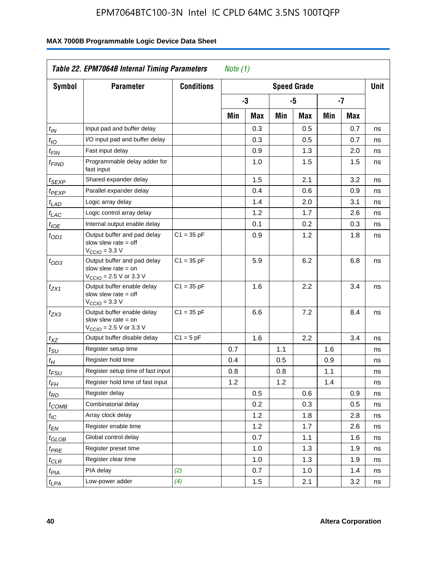| <b>Symbol</b>               | <b>Parameter</b>                                                                                           | <b>Conditions</b> |     |     |     | <b>Speed Grade</b> |     |            | <b>Unit</b> |
|-----------------------------|------------------------------------------------------------------------------------------------------------|-------------------|-----|-----|-----|--------------------|-----|------------|-------------|
|                             |                                                                                                            |                   |     | -3  |     | -5                 |     | -7         |             |
|                             |                                                                                                            |                   | Min | Max | Min | Max                | Min | <b>Max</b> |             |
| $t_{\mathit{IN}}$           | Input pad and buffer delay                                                                                 |                   |     | 0.3 |     | 0.5                |     | 0.7        | ns          |
| $t_{IO}$                    | I/O input pad and buffer delay                                                                             |                   |     | 0.3 |     | 0.5                |     | 0.7        | ns          |
| $t_{\sf FIN}$               | Fast input delay                                                                                           |                   |     | 0.9 |     | 1.3                |     | 2.0        | ns          |
| <sup>t</sup> FIND           | Programmable delay adder for<br>fast input                                                                 |                   |     | 1.0 |     | 1.5                |     | 1.5        | ns          |
| t <sub>SEXP</sub>           | Shared expander delay                                                                                      |                   |     | 1.5 |     | 2.1                |     | 3.2        | ns          |
| t <sub>PEXP</sub>           | Parallel expander delay                                                                                    |                   |     | 0.4 |     | 0.6                |     | 0.9        | ns          |
| t <sub>LAD</sub>            | Logic array delay                                                                                          |                   |     | 1.4 |     | 2.0                |     | 3.1        | ns          |
| $t_{LAC}$                   | Logic control array delay                                                                                  |                   |     | 1.2 |     | 1.7                |     | 2.6        | ns          |
| $t_{\mathit{IOE}}$          | Internal output enable delay                                                                               |                   |     | 0.1 |     | 0.2                |     | 0.3        | ns          |
| $t_{OD1}$                   | Output buffer and pad delay<br>slow slew rate $=$ off<br>$VCCIO = 3.3 V$                                   | $C1 = 35 pF$      |     | 0.9 |     | 1.2                |     | 1.8        | ns          |
| $t_{OD3}$                   | Output buffer and pad delay<br>slow slew rate $=$ on<br>V <sub>CCIO</sub> = 2.5 V or 3.3 V                 | $C1 = 35 pF$      |     | 5.9 |     | 6.2                |     | 6.8        | ns          |
| $t_{ZX1}$                   | Output buffer enable delay<br>slow slew rate $=$ off<br>$V_{\text{CCIO}} = 3.3 \text{ V}$                  | $C1 = 35 pF$      |     | 1.6 |     | 2.2                |     | 3.4        | ns          |
| $t_{ZX3}$                   | Output buffer enable delay<br>slow slew rate $=$ on<br>$V_{\text{CCIO}} = 2.5 \text{ V or } 3.3 \text{ V}$ | $C1 = 35 pF$      |     | 6.6 |     | 7.2                |     | 8.4        | ns          |
| $t_{XZ}$                    | Output buffer disable delay                                                                                | $C1 = 5pF$        |     | 1.6 |     | 2.2                |     | 3.4        | ns          |
| $t_{\scriptstyle\text{SU}}$ | Register setup time                                                                                        |                   | 0.7 |     | 1.1 |                    | 1.6 |            | ns          |
| t <sub>Η</sub>              | Register hold time                                                                                         |                   | 0.4 |     | 0.5 |                    | 0.9 |            | ns          |
| $t_{\mathit{FSU}}$          | Register setup time of fast input                                                                          |                   | 0.8 |     | 0.8 |                    | 1.1 |            | ns          |
| t <sub>FH</sub>             | Register hold time of fast input                                                                           |                   | 1.2 |     | 1.2 |                    | 1.4 |            | ns          |
| $t_{RD}$                    | Register delay                                                                                             |                   |     | 0.5 |     | 0.6                |     | 0.9        | ns          |
| $t_{COMB}$                  | Combinatorial delay                                                                                        |                   |     | 0.2 |     | 0.3                |     | 0.5        | ns          |
| $t_{\mathcal{IC}}$          | Array clock delay                                                                                          |                   |     | 1.2 |     | 1.8                |     | 2.8        | ns          |
| $t_{EN}$                    | Register enable time                                                                                       |                   |     | 1.2 |     | 1.7                |     | 2.6        | ns          |
| t <sub>GLOB</sub>           | Global control delay                                                                                       |                   |     | 0.7 |     | 1.1                |     | 1.6        | ns          |
| $t_{PRE}$                   | Register preset time                                                                                       |                   |     | 1.0 |     | 1.3                |     | 1.9        | ns          |
| $t_{\sf CLR}$               | Register clear time                                                                                        |                   |     | 1.0 |     | 1.3                |     | 1.9        | ns          |
| t <sub>PIA</sub>            | PIA delay                                                                                                  | (2)               |     | 0.7 |     | 1.0                |     | 1.4        | ns          |
| t <sub>LPA</sub>            | Low-power adder                                                                                            | (4)               |     | 1.5 |     | 2.1                |     | 3.2        | ns          |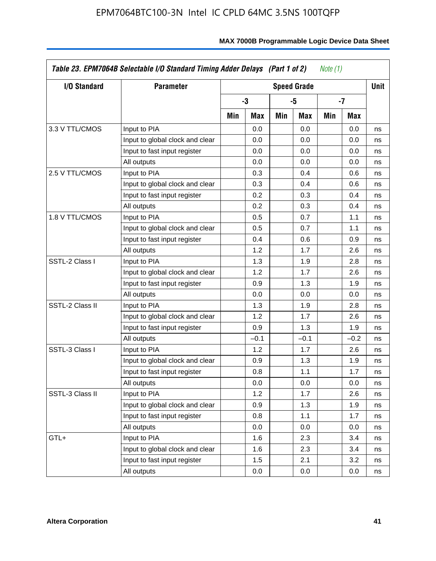| I/O Standard    | <b>Parameter</b>                | <b>Speed Grade</b> |        |     |        |     |        | Unit |
|-----------------|---------------------------------|--------------------|--------|-----|--------|-----|--------|------|
|                 |                                 |                    | -3     |     | -5     |     | -7     |      |
|                 |                                 | Min                | Max    | Min | Max    | Min | Max    |      |
| 3.3 V TTL/CMOS  | Input to PIA                    |                    | 0.0    |     | 0.0    |     | 0.0    | ns   |
|                 | Input to global clock and clear |                    | 0.0    |     | 0.0    |     | 0.0    | ns   |
|                 | Input to fast input register    |                    | 0.0    |     | 0.0    |     | 0.0    | ns   |
|                 | All outputs                     |                    | 0.0    |     | 0.0    |     | 0.0    | ns   |
| 2.5 V TTL/CMOS  | Input to PIA                    |                    | 0.3    |     | 0.4    |     | 0.6    | ns   |
|                 | Input to global clock and clear |                    | 0.3    |     | 0.4    |     | 0.6    | ns   |
|                 | Input to fast input register    |                    | 0.2    |     | 0.3    |     | 0.4    | ns   |
|                 | All outputs                     |                    | 0.2    |     | 0.3    |     | 0.4    | ns   |
| 1.8 V TTL/CMOS  | Input to PIA                    |                    | 0.5    |     | 0.7    |     | 1.1    | ns   |
|                 | Input to global clock and clear |                    | 0.5    |     | 0.7    |     | 1.1    | ns   |
|                 | Input to fast input register    |                    | 0.4    |     | 0.6    |     | 0.9    | ns   |
|                 | All outputs                     |                    | 1.2    |     | 1.7    |     | 2.6    | ns   |
| SSTL-2 Class I  | Input to PIA                    |                    | 1.3    |     | 1.9    |     | 2.8    | ns   |
|                 | Input to global clock and clear |                    | 1.2    |     | 1.7    |     | 2.6    | ns   |
|                 | Input to fast input register    |                    | 0.9    |     | 1.3    |     | 1.9    | ns   |
|                 | All outputs                     |                    | 0.0    |     | 0.0    |     | 0.0    | ns   |
| SSTL-2 Class II | Input to PIA                    |                    | 1.3    |     | 1.9    |     | 2.8    | ns   |
|                 | Input to global clock and clear |                    | 1.2    |     | 1.7    |     | 2.6    | ns   |
|                 | Input to fast input register    |                    | 0.9    |     | 1.3    |     | 1.9    | ns   |
|                 | All outputs                     |                    | $-0.1$ |     | $-0.1$ |     | $-0.2$ | ns   |
| SSTL-3 Class I  | Input to PIA                    |                    | 1.2    |     | 1.7    |     | 2.6    | ns   |
|                 | Input to global clock and clear |                    | 0.9    |     | 1.3    |     | 1.9    | ns   |
|                 | Input to fast input register    |                    | 0.8    |     | 1.1    |     | 1.7    | ns   |
|                 | All outputs                     |                    | 0.0    |     | 0.0    |     | 0.0    | ns   |
| SSTL-3 Class II | Input to PIA                    |                    | 1.2    |     | 1.7    |     | 2.6    | ns   |
|                 | Input to global clock and clear |                    | 0.9    |     | 1.3    |     | 1.9    | ns   |
|                 | Input to fast input register    |                    | 0.8    |     | 1.1    |     | 1.7    | ns   |
|                 | All outputs                     |                    | 0.0    |     | 0.0    |     | 0.0    | ns   |
| GTL+            | Input to PIA                    |                    | 1.6    |     | 2.3    |     | 3.4    | ns   |
|                 | Input to global clock and clear |                    | 1.6    |     | 2.3    |     | 3.4    | ns   |
|                 | Input to fast input register    |                    | 1.5    |     | 2.1    |     | 3.2    | ns   |
|                 | All outputs                     |                    | 0.0    |     | 0.0    |     | 0.0    | ns   |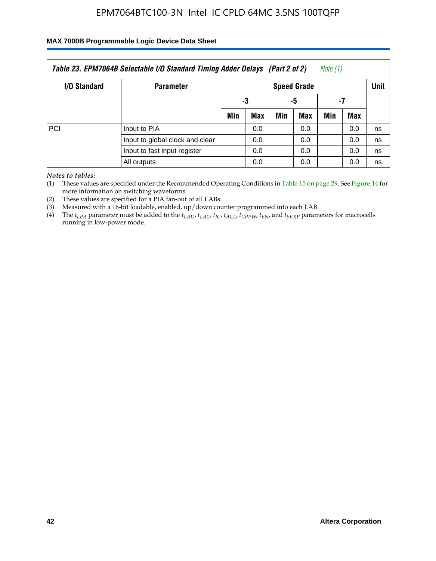#### **MAX 7000B Programmable Logic Device Data Sheet**

| Note (1)<br>Table 23. EPM7064B Selectable I/O Standard Timing Adder Delays (Part 2 of 2) |                                 |     |                    |     |     |     |     |    |  |  |  |
|------------------------------------------------------------------------------------------|---------------------------------|-----|--------------------|-----|-----|-----|-----|----|--|--|--|
| <b>I/O Standard</b>                                                                      | <b>Parameter</b>                |     | <b>Speed Grade</b> |     |     |     |     |    |  |  |  |
|                                                                                          |                                 | -3  |                    | -5  |     | -7  |     |    |  |  |  |
|                                                                                          |                                 | Min | Max                | Min | Max | Min | Max |    |  |  |  |
| PCI                                                                                      | Input to PIA                    |     | 0.0                |     | 0.0 |     | 0.0 | ns |  |  |  |
|                                                                                          | Input to global clock and clear |     | 0.0                |     | 0.0 |     | 0.0 | ns |  |  |  |
|                                                                                          | Input to fast input register    |     | 0.0                |     | 0.0 |     | 0.0 | ns |  |  |  |
|                                                                                          | All outputs                     |     | 0.0                |     | 0.0 |     | 0.0 | ns |  |  |  |

*Notes to tables:*

(1) These values are specified under the Recommended Operating Conditions in Table 15 on page 29. See Figure 14 for more information on switching waveforms.

(2) These values are specified for a PIA fan-out of all LABs.

(3) Measured with a 16-bit loadable, enabled, up/down counter programmed into each LAB.

(4) The  $t_{LPA}$  parameter must be added to the  $t_{LAD}$ ,  $t_{LAC}$ ,  $t_{IC}$ ,  $t_{ACL}$ ,  $t_{CPPW}$ ,  $t_{EN}$ , and  $t_{SEXP}$  parameters for macrocells running in low-power mode.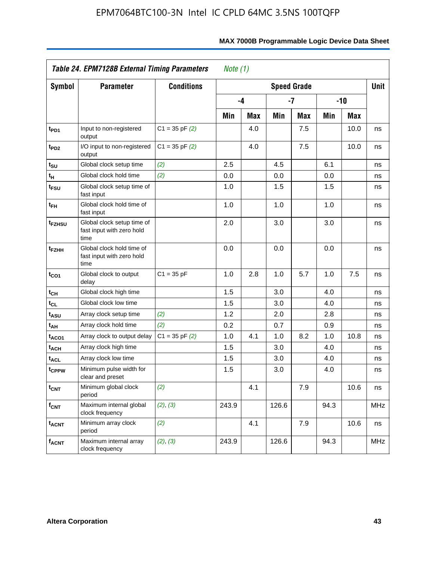|                             | <b>Table 24. EPM7128B External Timing Parameters</b>            |                    | Note $(1)$ |            |                    |     |       |      |            |
|-----------------------------|-----------------------------------------------------------------|--------------------|------------|------------|--------------------|-----|-------|------|------------|
| <b>Symbol</b>               | <b>Parameter</b>                                                | <b>Conditions</b>  |            |            | <b>Speed Grade</b> |     |       |      | Unit       |
|                             |                                                                 |                    |            | -4         |                    | -7  | $-10$ |      |            |
|                             |                                                                 |                    | Min        | <b>Max</b> | Min                | Max | Min   | Max  |            |
| t <sub>PD1</sub>            | Input to non-registered<br>output                               | $C1 = 35$ pF $(2)$ |            | 4.0        |                    | 7.5 |       | 10.0 | ns         |
| t <sub>PD2</sub>            | I/O input to non-registered<br>output                           | $C1 = 35$ pF $(2)$ |            | 4.0        |                    | 7.5 |       | 10.0 | ns         |
| $t_{\scriptstyle\text{SU}}$ | Global clock setup time                                         | (2)                | 2.5        |            | 4.5                |     | 6.1   |      | ns         |
| $t_H$                       | Global clock hold time                                          | (2)                | 0.0        |            | 0.0                |     | 0.0   |      | ns         |
| t <sub>FSU</sub>            | Global clock setup time of<br>fast input                        |                    | 1.0        |            | 1.5                |     | 1.5   |      | ns         |
| $t_{FH}$                    | Global clock hold time of<br>fast input                         |                    | 1.0        |            | 1.0                |     | 1.0   |      | ns         |
| t <sub>FZHSU</sub>          | Global clock setup time of<br>fast input with zero hold<br>time |                    | 2.0        |            | 3.0                |     | 3.0   |      | ns         |
| t <sub>FZHH</sub>           | Global clock hold time of<br>fast input with zero hold<br>time  |                    | 0.0        |            | 0.0                |     | 0.0   |      | ns         |
| $t_{CO1}$                   | Global clock to output<br>delay                                 | $C1 = 35 pF$       | 1.0        | 2.8        | 1.0                | 5.7 | 1.0   | 7.5  | ns         |
| $t_{CH}$                    | Global clock high time                                          |                    | 1.5        |            | 3.0                |     | 4.0   |      | ns         |
| $t_{CL}$                    | Global clock low time                                           |                    | 1.5        |            | 3.0                |     | 4.0   |      | ns         |
| t <sub>ASU</sub>            | Array clock setup time                                          | (2)                | 1.2        |            | 2.0                |     | 2.8   |      | ns         |
| t <sub>AH</sub>             | Array clock hold time                                           | (2)                | 0.2        |            | 0.7                |     | 0.9   |      | ns         |
| t <sub>ACO1</sub>           | Array clock to output delay                                     | $C1 = 35 pF(2)$    | 1.0        | 4.1        | 1.0                | 8.2 | 1.0   | 10.8 | ns         |
| <sup>t</sup> ach            | Array clock high time                                           |                    | 1.5        |            | 3.0                |     | 4.0   |      | ns         |
| <b>t<sub>ACL</sub></b>      | Array clock low time                                            |                    | 1.5        |            | 3.0                |     | 4.0   |      | ns         |
| t <sub>CPPW</sub>           | Minimum pulse width for<br>clear and preset                     |                    | 1.5        |            | 3.0                |     | 4.0   |      | ns         |
| $t_{\text{CNT}}$            | Minimum global clock<br>period                                  | (2)                |            | 4.1        |                    | 7.9 |       | 10.6 | ns         |
| $f_{CNT}$                   | Maximum internal global<br>clock frequency                      | (2), (3)           | 243.9      |            | 126.6              |     | 94.3  |      | <b>MHz</b> |
| <b>t<sub>ACNT</sub></b>     | Minimum array clock<br>period                                   | (2)                |            | 4.1        |                    | 7.9 |       | 10.6 | ns         |
| <b>f<sub>ACNT</sub></b>     | Maximum internal array<br>clock frequency                       | (2), (3)           | 243.9      |            | 126.6              |     | 94.3  |      | <b>MHz</b> |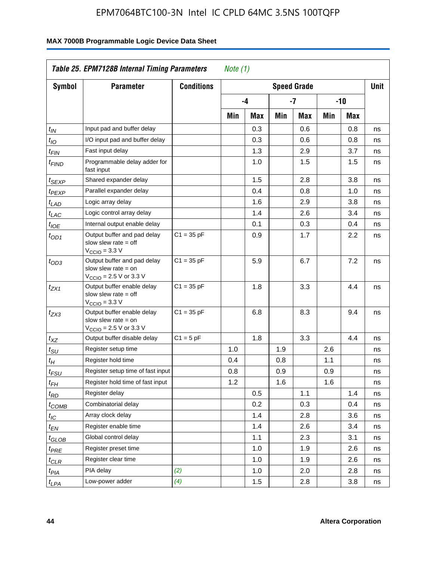| <b>Symbol</b>         | Table 25. EPM7128B Internal Timing Parameters<br><b>Parameter</b>                                           | <b>Conditions</b> | Note $(1)$ |     |     | <b>Speed Grade</b> |     |     | <b>Unit</b> |
|-----------------------|-------------------------------------------------------------------------------------------------------------|-------------------|------------|-----|-----|--------------------|-----|-----|-------------|
|                       |                                                                                                             |                   |            |     |     |                    |     |     |             |
|                       |                                                                                                             |                   |            | -4  |     | $-7$               |     | -10 |             |
|                       |                                                                                                             |                   | Min        | Max | Min | Max                | Min | Max |             |
| $t_{\mathit{IN}}$     | Input pad and buffer delay                                                                                  |                   |            | 0.3 |     | 0.6                |     | 0.8 | ns          |
| $t_{IO}$              | I/O input pad and buffer delay                                                                              |                   |            | 0.3 |     | 0.6                |     | 0.8 | ns          |
| $t_{\sf FIN}$         | Fast input delay                                                                                            |                   |            | 1.3 |     | 2.9                |     | 3.7 | ns          |
| t <sub>FIND</sub>     | Programmable delay adder for<br>fast input                                                                  |                   |            | 1.0 |     | 1.5                |     | 1.5 | ns          |
| t <sub>SEXP</sub>     | Shared expander delay                                                                                       |                   |            | 1.5 |     | 2.8                |     | 3.8 | ns          |
| t <sub>PEXP</sub>     | Parallel expander delay                                                                                     |                   |            | 0.4 |     | 0.8                |     | 1.0 | ns          |
| t <sub>LAD</sub>      | Logic array delay                                                                                           |                   |            | 1.6 |     | 2.9                |     | 3.8 | ns          |
| t <sub>LAC</sub>      | Logic control array delay                                                                                   |                   |            | 1.4 |     | 2.6                |     | 3.4 | ns          |
| $t_{\mathit{IOE}}$    | Internal output enable delay                                                                                |                   |            | 0.1 |     | 0.3                |     | 0.4 | ns          |
| $t_{OD1}$             | Output buffer and pad delay<br>slow slew rate $=$ off<br>$V_{\text{CCIO}} = 3.3 \text{ V}$                  | $C1 = 35 pF$      |            | 0.9 |     | 1.7                |     | 2.2 | ns          |
| $t_{OD3}$             | Output buffer and pad delay<br>slow slew rate $=$ on<br>$V_{\text{CCIO}} = 2.5 \text{ V or } 3.3 \text{ V}$ | $C1 = 35 pF$      |            | 5.9 |     | 6.7                |     | 7.2 | ns          |
| t <sub>ZX1</sub>      | Output buffer enable delay<br>slow slew rate $=$ off<br>$V_{\text{CCIO}} = 3.3 \text{ V}$                   | $C1 = 35 pF$      |            | 1.8 |     | 3.3                |     | 4.4 | ns          |
| $t_{ZX3}$             | Output buffer enable delay<br>slow slew rate $=$ on<br>$V_{\text{CCIO}} = 2.5 \text{ V or } 3.3 \text{ V}$  | $C1 = 35 pF$      |            | 6.8 |     | 8.3                |     | 9.4 | ns          |
| $t_{XZ}$              | Output buffer disable delay                                                                                 | $C1 = 5pF$        |            | 1.8 |     | 3.3                |     | 4.4 | ns          |
| $t_{\text{SU}}$       | Register setup time                                                                                         |                   | 1.0        |     | 1.9 |                    | 2.6 |     | ns          |
| $t_H$                 | Register hold time                                                                                          |                   | 0.4        |     | 0.8 |                    | 1.1 |     | ns          |
| $t_{FSU}$             | Register setup time of fast input                                                                           |                   | 0.8        |     | 0.9 |                    | 0.9 |     | ns          |
| $t_{FH}$              | Register hold time of fast input                                                                            |                   | 1.2        |     | 1.6 |                    | 1.6 |     | ns          |
| $t_{RD}$              | Register delay                                                                                              |                   |            | 0.5 |     | 1.1                |     | 1.4 | ns          |
| $t_{COMB}$            | Combinatorial delay                                                                                         |                   |            | 0.2 |     | 0.3                |     | 0.4 | ns          |
| $t_{\mathcal{IC}}$    | Array clock delay                                                                                           |                   |            | 1.4 |     | 2.8                |     | 3.6 | ns          |
| $t_{EN}$              | Register enable time                                                                                        |                   |            | 1.4 |     | 2.6                |     | 3.4 | ns          |
| t <sub>GLOB</sub>     | Global control delay                                                                                        |                   |            | 1.1 |     | 2.3                |     | 3.1 | ns          |
| $t_{PRE}$             | Register preset time                                                                                        |                   |            | 1.0 |     | 1.9                |     | 2.6 | ns          |
| ${}^t\rm{CLR}$        | Register clear time                                                                                         |                   |            | 1.0 |     | 1.9                |     | 2.6 | ns          |
| $t_{PI\underline{A}}$ | PIA delay                                                                                                   | (2)               |            | 1.0 |     | 2.0                |     | 2.8 | ns          |
| $t_{LPA}$             | Low-power adder                                                                                             | (4)               |            | 1.5 |     | 2.8                |     | 3.8 | ns          |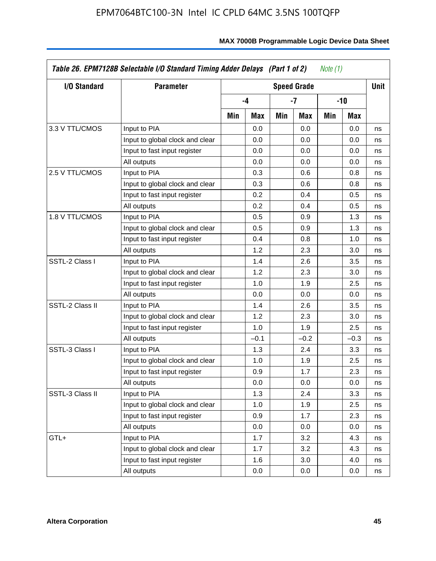| I/O Standard    | <b>Parameter</b>                |     |        |     | <b>Speed Grade</b> |     |        | <b>Unit</b> |
|-----------------|---------------------------------|-----|--------|-----|--------------------|-----|--------|-------------|
|                 |                                 |     | $-4$   |     | -7                 |     | -10    |             |
|                 |                                 | Min | Max    | Min | Max                | Min | Max    |             |
| 3.3 V TTL/CMOS  | Input to PIA                    |     | 0.0    |     | 0.0                |     | 0.0    | ns          |
|                 | Input to global clock and clear |     | 0.0    |     | 0.0                |     | 0.0    | ns          |
|                 | Input to fast input register    |     | 0.0    |     | 0.0                |     | 0.0    | ns          |
|                 | All outputs                     |     | 0.0    |     | 0.0                |     | 0.0    | ns          |
| 2.5 V TTL/CMOS  | Input to PIA                    |     | 0.3    |     | 0.6                |     | 0.8    | ns          |
|                 | Input to global clock and clear |     | 0.3    |     | 0.6                |     | 0.8    | ns          |
|                 | Input to fast input register    |     | 0.2    |     | 0.4                |     | 0.5    | ns          |
|                 | All outputs                     |     | 0.2    |     | 0.4                |     | 0.5    | ns          |
| 1.8 V TTL/CMOS  | Input to PIA                    |     | 0.5    |     | 0.9                |     | 1.3    | ns          |
|                 | Input to global clock and clear |     | 0.5    |     | 0.9                |     | 1.3    | ns          |
|                 | Input to fast input register    |     | 0.4    |     | 0.8                |     | 1.0    | ns          |
|                 | All outputs                     |     | 1.2    |     | 2.3                |     | 3.0    | ns          |
| SSTL-2 Class I  | Input to PIA                    |     | 1.4    |     | 2.6                |     | 3.5    | ns          |
|                 | Input to global clock and clear |     | 1.2    |     | 2.3                |     | 3.0    | ns          |
|                 | Input to fast input register    |     | 1.0    |     | 1.9                |     | 2.5    | ns          |
|                 | All outputs                     |     | 0.0    |     | 0.0                |     | 0.0    | ns          |
| SSTL-2 Class II | Input to PIA                    |     | 1.4    |     | 2.6                |     | 3.5    | ns          |
|                 | Input to global clock and clear |     | 1.2    |     | 2.3                |     | 3.0    | ns          |
|                 | Input to fast input register    |     | 1.0    |     | 1.9                |     | 2.5    | ns          |
|                 | All outputs                     |     | $-0.1$ |     | $-0.2$             |     | $-0.3$ | ns          |
| SSTL-3 Class I  | Input to PIA                    |     | 1.3    |     | 2.4                |     | 3.3    | ns          |
|                 | Input to global clock and clear |     | 1.0    |     | 1.9                |     | 2.5    | ns          |
|                 | Input to fast input register    |     | 0.9    |     | 1.7                |     | 2.3    | ns          |
|                 | All outputs                     |     | 0.0    |     | 0.0                |     | 0.0    | ns          |
| SSTL-3 Class II | Input to PIA                    |     | 1.3    |     | 2.4                |     | 3.3    | ns          |
|                 | Input to global clock and clear |     | 1.0    |     | 1.9                |     | 2.5    | ns          |
|                 | Input to fast input register    |     | 0.9    |     | 1.7                |     | 2.3    | ns          |
|                 | All outputs                     |     | 0.0    |     | 0.0                |     | 0.0    | ns          |
| GTL+            | Input to PIA                    |     | 1.7    |     | 3.2                |     | 4.3    | ns          |
|                 | Input to global clock and clear |     | 1.7    |     | 3.2                |     | 4.3    | ns          |
|                 | Input to fast input register    |     | 1.6    |     | 3.0                |     | 4.0    | ns          |
|                 | All outputs                     |     | 0.0    |     | 0.0                |     | 0.0    | ns          |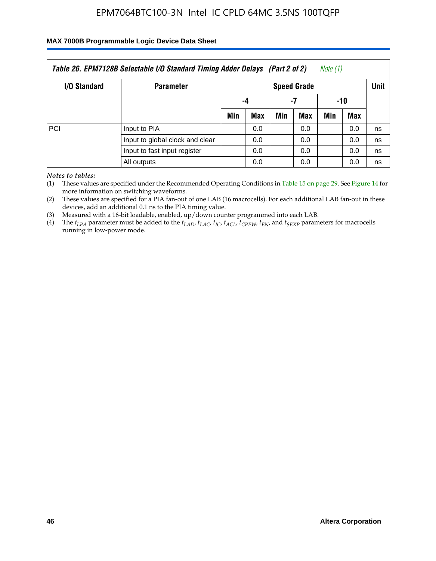#### **MAX 7000B Programmable Logic Device Data Sheet**

| Table 26. EPM7128B Selectable I/O Standard Timing Adder Delays (Part 2 of 2)<br>Note (1) |                                 |     |     |             |     |     |     |    |  |  |  |
|------------------------------------------------------------------------------------------|---------------------------------|-----|-----|-------------|-----|-----|-----|----|--|--|--|
| <b>I/O Standard</b>                                                                      | <b>Parameter</b>                |     |     | <b>Unit</b> |     |     |     |    |  |  |  |
|                                                                                          |                                 | -4  |     | -7          |     | -10 |     |    |  |  |  |
|                                                                                          |                                 | Min | Max | Min         | Max | Min | Max |    |  |  |  |
| PCI                                                                                      | Input to PIA                    |     | 0.0 |             | 0.0 |     | 0.0 | ns |  |  |  |
|                                                                                          | Input to global clock and clear |     | 0.0 |             | 0.0 |     | 0.0 | ns |  |  |  |
|                                                                                          | Input to fast input register    |     | 0.0 |             | 0.0 |     | 0.0 | ns |  |  |  |
|                                                                                          | All outputs                     |     | 0.0 |             | 0.0 |     | 0.0 | ns |  |  |  |

*Notes to tables:*

(1) These values are specified under the Recommended Operating Conditions in Table 15 on page 29. See Figure 14 for more information on switching waveforms.

(2) These values are specified for a PIA fan-out of one LAB (16 macrocells). For each additional LAB fan-out in these devices, add an additional 0.1 ns to the PIA timing value.

(3) Measured with a 16-bit loadable, enabled, up/down counter programmed into each LAB.

(4) The  $t_{LPA}$  parameter must be added to the  $t_{LAP}$ ,  $t_{LAC}$ ,  $t_{IC}$ ,  $t_{ACL}$ ,  $t_{CPPW}$ ,  $t_{EN}$ , and  $t_{SEXP}$  parameters for macrocells running in low-power mode.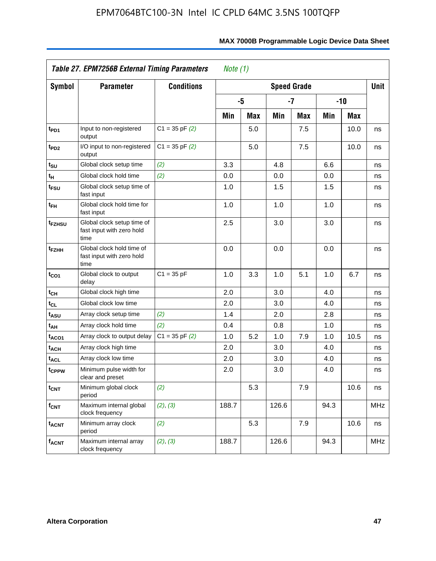|                             | Table 27. EPM7256B External Timing Parameters<br>Note $(1)$     |                    |       |                    |       |     |      |       |            |
|-----------------------------|-----------------------------------------------------------------|--------------------|-------|--------------------|-------|-----|------|-------|------------|
| <b>Symbol</b>               | <b>Parameter</b>                                                | <b>Conditions</b>  |       | <b>Speed Grade</b> |       |     |      |       | Unit       |
|                             |                                                                 |                    |       | -5                 | $-7$  |     |      | $-10$ |            |
|                             |                                                                 |                    | Min   | Max                | Min   | Max | Min  | Max   |            |
| t <sub>PD1</sub>            | Input to non-registered<br>output                               | $C1 = 35$ pF $(2)$ |       | 5.0                |       | 7.5 |      | 10.0  | ns         |
| $t_{PD2}$                   | I/O input to non-registered<br>output                           | $C1 = 35 pF(2)$    |       | 5.0                |       | 7.5 |      | 10.0  | ns         |
| t <sub>su</sub>             | Global clock setup time                                         | (2)                | 3.3   |                    | 4.8   |     | 6.6  |       | ns         |
| $\mathfrak{t}_{\mathsf{H}}$ | Global clock hold time                                          | (2)                | 0.0   |                    | 0.0   |     | 0.0  |       | ns         |
| t <sub>FSU</sub>            | Global clock setup time of<br>fast input                        |                    | 1.0   |                    | 1.5   |     | 1.5  |       | ns         |
| t <sub>FH</sub>             | Global clock hold time for<br>fast input                        |                    | 1.0   |                    | 1.0   |     | 1.0  |       | ns         |
| t <sub>FZHSU</sub>          | Global clock setup time of<br>fast input with zero hold<br>time |                    | 2.5   |                    | 3.0   |     | 3.0  |       | ns         |
| t <sub>FZHH</sub>           | Global clock hold time of<br>fast input with zero hold<br>time  |                    | 0.0   |                    | 0.0   |     | 0.0  |       | ns         |
| $t_{CO1}$                   | Global clock to output<br>delay                                 | $C1 = 35 pF$       | 1.0   | 3.3                | 1.0   | 5.1 | 1.0  | 6.7   | ns         |
| $t_{CH}$                    | Global clock high time                                          |                    | 2.0   |                    | 3.0   |     | 4.0  |       | ns         |
| $t_{CL}$                    | Global clock low time                                           |                    | 2.0   |                    | 3.0   |     | 4.0  |       | ns         |
| $t_{ASU}$                   | Array clock setup time                                          | (2)                | 1.4   |                    | 2.0   |     | 2.8  |       | ns         |
| $t_{AH}$                    | Array clock hold time                                           | (2)                | 0.4   |                    | 0.8   |     | 1.0  |       | ns         |
| t <sub>ACO1</sub>           | Array clock to output delay                                     | $C1 = 35$ pF $(2)$ | 1.0   | 5.2                | 1.0   | 7.9 | 1.0  | 10.5  | ns         |
| $t_{ACH}$                   | Array clock high time                                           |                    | 2.0   |                    | 3.0   |     | 4.0  |       | ns         |
| t <sub>ACL</sub>            | Array clock low time                                            |                    | 2.0   |                    | 3.0   |     | 4.0  |       | ns         |
| t <sub>CPPW</sub>           | Minimum pulse width for<br>clear and preset                     |                    | 2.0   |                    | 3.0   |     | 4.0  |       | ns         |
| t <sub>CNT</sub>            | Minimum global clock<br>period                                  | (2)                |       | 5.3                |       | 7.9 |      | 10.6  | ns         |
| $f_{\mathsf{CNT}}$          | Maximum internal global<br>clock frequency                      | (2), (3)           | 188.7 |                    | 126.6 |     | 94.3 |       | <b>MHz</b> |
| $t_{ACNT}$                  | Minimum array clock<br>period                                   | (2)                |       | 5.3                |       | 7.9 |      | 10.6  | ns         |
| <b>f<sub>ACNT</sub></b>     | Maximum internal array<br>clock frequency                       | (2), (3)           | 188.7 |                    | 126.6 |     | 94.3 |       | <b>MHz</b> |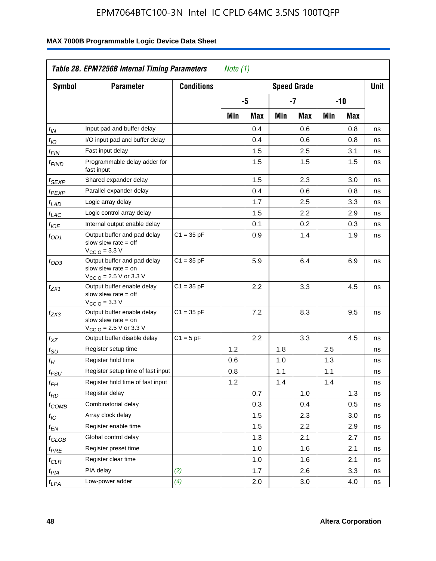| <b>Symbol</b>         | <b>Parameter</b>                                                                                            | <b>Conditions</b> |     |     |     | <b>Speed Grade</b> |     |     | <b>Unit</b> |
|-----------------------|-------------------------------------------------------------------------------------------------------------|-------------------|-----|-----|-----|--------------------|-----|-----|-------------|
|                       |                                                                                                             |                   |     | -5  |     | $-7$               |     | -10 |             |
|                       |                                                                                                             |                   | Min | Max | Min | Max                | Min | Max |             |
| $t_{\mathsf{IN}}$     | Input pad and buffer delay                                                                                  |                   |     | 0.4 |     | 0.6                |     | 0.8 | ns          |
| $t_{IO}$              | I/O input pad and buffer delay                                                                              |                   |     | 0.4 |     | 0.6                |     | 0.8 | ns          |
| $t_{\sf FIN}$         | Fast input delay                                                                                            |                   |     | 1.5 |     | 2.5                |     | 3.1 | ns          |
| t <sub>FIND</sub>     | Programmable delay adder for<br>fast input                                                                  |                   |     | 1.5 |     | 1.5                |     | 1.5 | ns          |
| t <sub>SEXP</sub>     | Shared expander delay                                                                                       |                   |     | 1.5 |     | 2.3                |     | 3.0 | ns          |
| t <sub>PEXP</sub>     | Parallel expander delay                                                                                     |                   |     | 0.4 |     | 0.6                |     | 0.8 | ns          |
| t <sub>LAD</sub>      | Logic array delay                                                                                           |                   |     | 1.7 |     | 2.5                |     | 3.3 | ns          |
| t <sub>LAC</sub>      | Logic control array delay                                                                                   |                   |     | 1.5 |     | $2.2\,$            |     | 2.9 | ns          |
| $t_{\mathit{IOE}}$    | Internal output enable delay                                                                                |                   |     | 0.1 |     | 0.2                |     | 0.3 | ns          |
| $t_{OD1}$             | Output buffer and pad delay<br>slow slew rate $=$ off<br>$V_{\text{CCIO}} = 3.3 \text{ V}$                  | $C1 = 35 pF$      |     | 0.9 |     | 1.4                |     | 1.9 | ns          |
| $t_{OD3}$             | Output buffer and pad delay<br>slow slew rate $=$ on<br>$V_{\text{CCIO}} = 2.5 \text{ V or } 3.3 \text{ V}$ | $C1 = 35 pF$      |     | 5.9 |     | 6.4                |     | 6.9 | ns          |
| t <sub>ZX1</sub>      | Output buffer enable delay<br>slow slew rate $=$ off<br>$V_{\text{CCIO}} = 3.3 \text{ V}$                   | $C1 = 35 pF$      |     | 2.2 |     | 3.3                |     | 4.5 | ns          |
| $t_{ZX3}$             | Output buffer enable delay<br>slow slew rate $=$ on<br>$V_{\text{CCIO}} = 2.5 \text{ V or } 3.3 \text{ V}$  | $C1 = 35 pF$      |     | 7.2 |     | 8.3                |     | 9.5 | ns          |
| $t_{XZ}$              | Output buffer disable delay                                                                                 | $C1 = 5pF$        |     | 2.2 |     | 3.3                |     | 4.5 | ns          |
| $t_{\text{SU}}$       | Register setup time                                                                                         |                   | 1.2 |     | 1.8 |                    | 2.5 |     | ns          |
| $t_H$                 | Register hold time                                                                                          |                   | 0.6 |     | 1.0 |                    | 1.3 |     | ns          |
| $t_{FSU}$             | Register setup time of fast input                                                                           |                   | 0.8 |     | 1.1 |                    | 1.1 |     | ns          |
| $t_{FH}$              | Register hold time of fast input                                                                            |                   | 1.2 |     | 1.4 |                    | 1.4 |     | ns          |
| $t_{RD}$              | Register delay                                                                                              |                   |     | 0.7 |     | 1.0                |     | 1.3 | ns          |
| $t_{COMB}$            | Combinatorial delay                                                                                         |                   |     | 0.3 |     | 0.4                |     | 0.5 | ns          |
| $t_{\mathcal{IC}}$    | Array clock delay                                                                                           |                   |     | 1.5 |     | 2.3                |     | 3.0 | ns          |
| $t_{EN}$              | Register enable time                                                                                        |                   |     | 1.5 |     | 2.2                |     | 2.9 | ns          |
| t <sub>GLOB</sub>     | Global control delay                                                                                        |                   |     | 1.3 |     | 2.1                |     | 2.7 | ns          |
| $t_{PRE}$             | Register preset time                                                                                        |                   |     | 1.0 |     | 1.6                |     | 2.1 | ns          |
| ${}^t\rm{CLR}$        | Register clear time                                                                                         |                   |     | 1.0 |     | 1.6                |     | 2.1 | ns          |
| $t_{PI\underline{A}}$ | PIA delay                                                                                                   | (2)               |     | 1.7 |     | 2.6                |     | 3.3 | ns          |
| $t_{LPA}$             | Low-power adder                                                                                             | (4)               |     | 2.0 |     | 3.0                |     | 4.0 | ns          |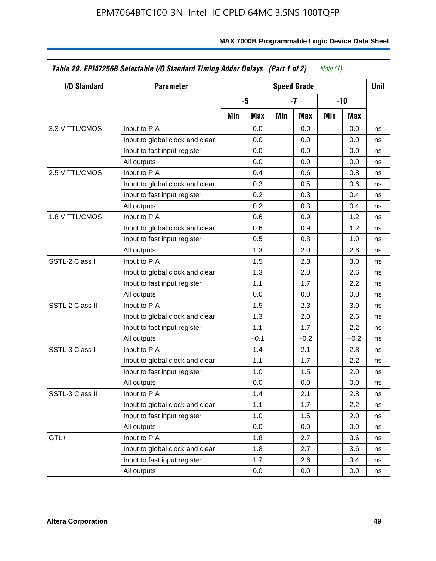| I/O Standard    | <b>Parameter</b>                | <b>Speed Grade</b> |        |     |        |     |        | <b>Unit</b> |
|-----------------|---------------------------------|--------------------|--------|-----|--------|-----|--------|-------------|
|                 |                                 |                    | $-5$   |     | -7     |     | -10    |             |
|                 |                                 | Min                | Max    | Min | Max    | Min | Max    |             |
| 3.3 V TTL/CMOS  | Input to PIA                    |                    | 0.0    |     | 0.0    |     | 0.0    | ns          |
|                 | Input to global clock and clear |                    | 0.0    |     | 0.0    |     | 0.0    | ns          |
|                 | Input to fast input register    |                    | 0.0    |     | 0.0    |     | 0.0    | ns          |
|                 | All outputs                     |                    | 0.0    |     | 0.0    |     | 0.0    | ns          |
| 2.5 V TTL/CMOS  | Input to PIA                    |                    | 0.4    |     | 0.6    |     | 0.8    | ns          |
|                 | Input to global clock and clear |                    | 0.3    |     | 0.5    |     | 0.6    | ns          |
|                 | Input to fast input register    |                    | 0.2    |     | 0.3    |     | 0.4    | ns          |
|                 | All outputs                     |                    | 0.2    |     | 0.3    |     | 0.4    | ns          |
| 1.8 V TTL/CMOS  | Input to PIA                    |                    | 0.6    |     | 0.9    |     | 1.2    | ns          |
|                 | Input to global clock and clear |                    | 0.6    |     | 0.9    |     | 1.2    | ns          |
|                 | Input to fast input register    |                    | 0.5    |     | 0.8    |     | 1.0    | ns          |
|                 | All outputs                     |                    | 1.3    |     | 2.0    |     | 2.6    | ns          |
| SSTL-2 Class I  | Input to PIA                    |                    | 1.5    |     | 2.3    |     | 3.0    | ns          |
|                 | Input to global clock and clear |                    | 1.3    |     | 2.0    |     | 2.6    | ns          |
|                 | Input to fast input register    |                    | 1.1    |     | 1.7    |     | 2.2    | ns          |
|                 | All outputs                     |                    | 0.0    |     | 0.0    |     | 0.0    | ns          |
| SSTL-2 Class II | Input to PIA                    |                    | 1.5    |     | 2.3    |     | 3.0    | ns          |
|                 | Input to global clock and clear |                    | 1.3    |     | 2.0    |     | 2.6    | ns          |
|                 | Input to fast input register    |                    | 1.1    |     | 1.7    |     | 2.2    | ns          |
|                 | All outputs                     |                    | $-0.1$ |     | $-0.2$ |     | $-0.2$ | ns          |
| SSTL-3 Class I  | Input to PIA                    |                    | 1.4    |     | 2.1    |     | 2.8    | ns          |
|                 | Input to global clock and clear |                    | 1.1    |     | 1.7    |     | 2.2    | ns          |
|                 | Input to fast input register    |                    | 1.0    |     | 1.5    |     | 2.0    | ns          |
|                 | All outputs                     |                    | 0.0    |     | 0.0    |     | 0.0    | ns          |
| SSTL-3 Class II | Input to PIA                    |                    | 1.4    |     | 2.1    |     | 2.8    | ns          |
|                 | Input to global clock and clear |                    | 1.1    |     | 1.7    |     | 2.2    | ns          |
|                 | Input to fast input register    |                    | 1.0    |     | 1.5    |     | 2.0    | ns          |
|                 | All outputs                     |                    | 0.0    |     | 0.0    |     | 0.0    | ns          |
| GTL+            | Input to PIA                    |                    | 1.8    |     | 2.7    |     | 3.6    | ns          |
|                 | Input to global clock and clear |                    | 1.8    |     | 2.7    |     | 3.6    | ns          |
|                 | Input to fast input register    |                    | 1.7    |     | 2.6    |     | 3.4    | ns          |
|                 | All outputs                     |                    | 0.0    |     | 0.0    |     | 0.0    | ns          |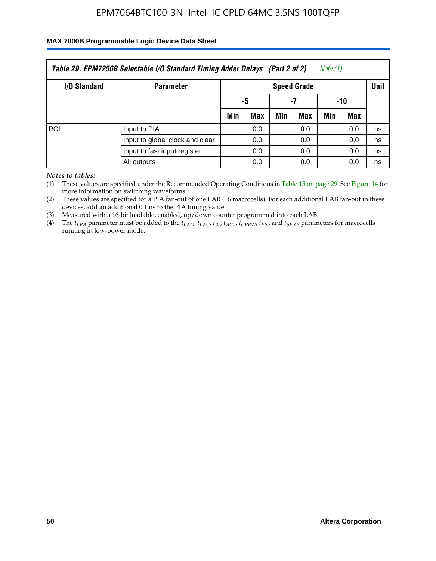#### **MAX 7000B Programmable Logic Device Data Sheet**

| Table 29. EPM7256B Selectable I/O Standard Timing Adder Delays (Part 2 of 2)<br>Note (1) |                                 |                    |     |     |     |     |            |             |
|------------------------------------------------------------------------------------------|---------------------------------|--------------------|-----|-----|-----|-----|------------|-------------|
| <b>I/O Standard</b>                                                                      | <b>Parameter</b>                | <b>Speed Grade</b> |     |     |     |     |            | <b>Unit</b> |
|                                                                                          |                                 | -5                 |     | -7  |     | -10 |            |             |
|                                                                                          |                                 | Min                | Max | Min | Max | Min | <b>Max</b> |             |
| <b>PCI</b>                                                                               | Input to PIA                    |                    | 0.0 |     | 0.0 |     | 0.0        | ns          |
|                                                                                          | Input to global clock and clear |                    | 0.0 |     | 0.0 |     | 0.0        | ns          |
|                                                                                          | Input to fast input register    |                    | 0.0 |     | 0.0 |     | 0.0        | ns          |
|                                                                                          | All outputs                     |                    | 0.0 |     | 0.0 |     | 0.0        | ns          |

*Notes to tables:*

(1) These values are specified under the Recommended Operating Conditions in Table 15 on page 29. See Figure 14 for more information on switching waveforms.

(2) These values are specified for a PIA fan-out of one LAB (16 macrocells). For each additional LAB fan-out in these devices, add an additional 0.1 ns to the PIA timing value.

(3) Measured with a 16-bit loadable, enabled, up/down counter programmed into each LAB.

(4) The  $t_{LPA}$  parameter must be added to the  $t_{LAP}$ ,  $t_{LAP}$ ,  $t_{LCP}$ ,  $t_{ACL}$ ,  $t_{CPPW}$ ,  $t_{EN}$ , and  $t_{SEXP}$  parameters for macrocells running in low-power mode.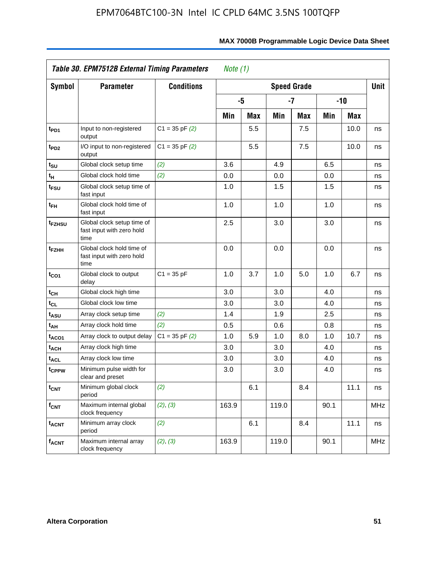|                             | Table 30. EPM7512B External Timing Parameters<br>Note $(1)$     |                    |       |            |       |                    |      |       |             |
|-----------------------------|-----------------------------------------------------------------|--------------------|-------|------------|-------|--------------------|------|-------|-------------|
| <b>Symbol</b>               | <b>Parameter</b>                                                | <b>Conditions</b>  |       |            |       | <b>Speed Grade</b> |      |       | <b>Unit</b> |
|                             |                                                                 |                    |       | -5         |       | -7                 |      | $-10$ |             |
|                             |                                                                 |                    | Min   | <b>Max</b> | Min   | Max                | Min  | Max   |             |
| t <sub>PD1</sub>            | Input to non-registered<br>output                               | $C1 = 35$ pF $(2)$ |       | 5.5        |       | 7.5                |      | 10.0  | ns          |
| t <sub>PD2</sub>            | I/O input to non-registered<br>output                           | $C1 = 35$ pF $(2)$ |       | 5.5        |       | 7.5                |      | 10.0  | ns          |
| $t_{\scriptstyle\text{SU}}$ | Global clock setup time                                         | (2)                | 3.6   |            | 4.9   |                    | 6.5  |       | ns          |
| $t_H$                       | Global clock hold time                                          | (2)                | 0.0   |            | 0.0   |                    | 0.0  |       | ns          |
| t <sub>FSU</sub>            | Global clock setup time of<br>fast input                        |                    | 1.0   |            | 1.5   |                    | 1.5  |       | ns          |
| $t_{FH}$                    | Global clock hold time of<br>fast input                         |                    | 1.0   |            | 1.0   |                    | 1.0  |       | ns          |
| t <sub>FZHSU</sub>          | Global clock setup time of<br>fast input with zero hold<br>time |                    | 2.5   |            | 3.0   |                    | 3.0  |       | ns          |
| t <sub>FZHH</sub>           | Global clock hold time of<br>fast input with zero hold<br>time  |                    | 0.0   |            | 0.0   |                    | 0.0  |       | ns          |
| $t_{CO1}$                   | Global clock to output<br>delay                                 | $C1 = 35 pF$       | 1.0   | 3.7        | 1.0   | 5.0                | 1.0  | 6.7   | ns          |
| $t_{CH}$                    | Global clock high time                                          |                    | 3.0   |            | 3.0   |                    | 4.0  |       | ns          |
| $t_{CL}$                    | Global clock low time                                           |                    | 3.0   |            | 3.0   |                    | 4.0  |       | ns          |
| t <sub>ASU</sub>            | Array clock setup time                                          | (2)                | 1.4   |            | 1.9   |                    | 2.5  |       | ns          |
| t <sub>AH</sub>             | Array clock hold time                                           | (2)                | 0.5   |            | 0.6   |                    | 0.8  |       | ns          |
| t <sub>ACO1</sub>           | Array clock to output delay                                     | $C1 = 35 pF(2)$    | 1.0   | 5.9        | 1.0   | 8.0                | 1.0  | 10.7  | ns          |
| t <sub>ACH</sub>            | Array clock high time                                           |                    | 3.0   |            | 3.0   |                    | 4.0  |       | ns          |
| <b>t<sub>ACL</sub></b>      | Array clock low time                                            |                    | 3.0   |            | 3.0   |                    | 4.0  |       | ns          |
| t <sub>CPPW</sub>           | Minimum pulse width for<br>clear and preset                     |                    | 3.0   |            | 3.0   |                    | 4.0  |       | ns          |
| $t_{\text{CNT}}$            | Minimum global clock<br>period                                  | (2)                |       | 6.1        |       | 8.4                |      | 11.1  | ns          |
| $f_{CNT}$                   | Maximum internal global<br>clock frequency                      | (2), (3)           | 163.9 |            | 119.0 |                    | 90.1 |       | <b>MHz</b>  |
| <b>t<sub>ACNT</sub></b>     | Minimum array clock<br>period                                   | (2)                |       | 6.1        |       | 8.4                |      | 11.1  | ns          |
| <b>f<sub>ACNT</sub></b>     | Maximum internal array<br>clock frequency                       | (2), (3)           | 163.9 |            | 119.0 |                    | 90.1 |       | <b>MHz</b>  |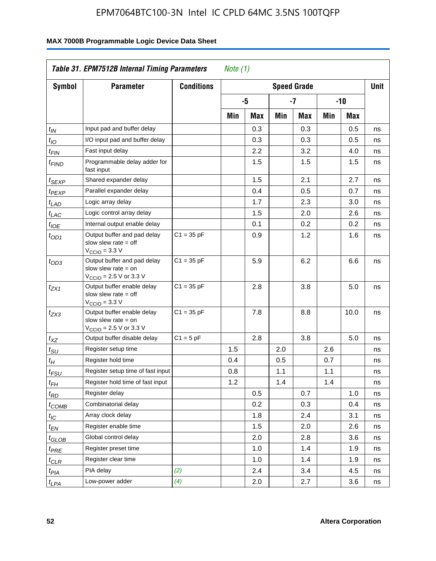|                             | Table 31. EPM7512B Internal Timing Parameters<br>Note $(1)$                                                 |                   |     |     |     |                    |     |      |             |
|-----------------------------|-------------------------------------------------------------------------------------------------------------|-------------------|-----|-----|-----|--------------------|-----|------|-------------|
| <b>Symbol</b>               | <b>Parameter</b>                                                                                            | <b>Conditions</b> |     |     |     | <b>Speed Grade</b> |     |      | <b>Unit</b> |
|                             |                                                                                                             |                   |     | -5  |     | $-7$               | -10 |      |             |
|                             |                                                                                                             |                   | Min | Max | Min | Max                | Min | Max  |             |
| $t_{\mathsf{IN}}$           | Input pad and buffer delay                                                                                  |                   |     | 0.3 |     | 0.3                |     | 0.5  | ns          |
| $t_{IO}$                    | I/O input pad and buffer delay                                                                              |                   |     | 0.3 |     | 0.3                |     | 0.5  | ns          |
| $t_{\sf FIN}$               | Fast input delay                                                                                            |                   |     | 2.2 |     | 3.2                |     | 4.0  | ns          |
| t <sub>FIND</sub>           | Programmable delay adder for<br>fast input                                                                  |                   |     | 1.5 |     | 1.5                |     | 1.5  | ns          |
| t <sub>SEXP</sub>           | Shared expander delay                                                                                       |                   |     | 1.5 |     | 2.1                |     | 2.7  | ns          |
| t <sub>PEXP</sub>           | Parallel expander delay                                                                                     |                   |     | 0.4 |     | 0.5                |     | 0.7  | ns          |
| t <sub>LAD</sub>            | Logic array delay                                                                                           |                   |     | 1.7 |     | 2.3                |     | 3.0  | ns          |
| $t_{LAC}$                   | Logic control array delay                                                                                   |                   |     | 1.5 |     | 2.0                |     | 2.6  | ns          |
| t <sub>IOE</sub>            | Internal output enable delay                                                                                |                   |     | 0.1 |     | 0.2                |     | 0.2  | ns          |
| $t_{OD1}$                   | Output buffer and pad delay<br>slow slew rate $=$ off<br>$V_{\text{CCIO}} = 3.3 \text{ V}$                  | $C1 = 35 pF$      |     | 0.9 |     | 1.2                |     | 1.6  | ns          |
| $t_{OD3}$                   | Output buffer and pad delay<br>slow slew rate $=$ on<br>$V_{\text{CCIO}} = 2.5 \text{ V or } 3.3 \text{ V}$ | $C1 = 35 pF$      |     | 5.9 |     | 6.2                |     | 6.6  | ns          |
| tzx1                        | Output buffer enable delay<br>slow slew rate $=$ off<br>$VCCIO = 3.3 V$                                     | $C1 = 35 pF$      |     | 2.8 |     | 3.8                |     | 5.0  | ns          |
| $t_{ZX3}$                   | Output buffer enable delay<br>slow slew rate $=$ on<br>$V_{\text{CCIO}} = 2.5 \text{ V or } 3.3 \text{ V}$  | $C1 = 35 pF$      |     | 7.8 |     | 8.8                |     | 10.0 | ns          |
| $t_{XZ}$                    | Output buffer disable delay                                                                                 | $C1 = 5pF$        |     | 2.8 |     | 3.8                |     | 5.0  | ns          |
| $t_{\scriptstyle\text{SU}}$ | Register setup time                                                                                         |                   | 1.5 |     | 2.0 |                    | 2.6 |      | ns          |
| $t_H$                       | Register hold time                                                                                          |                   | 0.4 |     | 0.5 |                    | 0.7 |      | ns          |
| t <sub>FSU</sub>            | Register setup time of fast input                                                                           |                   | 0.8 |     | 1.1 |                    | 1.1 |      | ns          |
| t <sub>FH</sub>             | Register hold time of fast input                                                                            |                   | 1.2 |     | 1.4 |                    | 1.4 |      | ns          |
| $t_{RD}$                    | Register delay                                                                                              |                   |     | 0.5 |     | 0.7                |     | 1.0  | ns          |
| $t_{\mathsf{COMB}}$         | Combinatorial delay                                                                                         |                   |     | 0.2 |     | 0.3                |     | 0.4  | ns          |
| $t_{IC}$                    | Array clock delay                                                                                           |                   |     | 1.8 |     | 2.4                |     | 3.1  | ns          |
| $t_{EN}$                    | Register enable time                                                                                        |                   |     | 1.5 |     | 2.0                |     | 2.6  | ns          |
| t <sub>GLOB</sub>           | Global control delay                                                                                        |                   |     | 2.0 |     | 2.8                |     | 3.6  | ns          |
| $t_{PRE}$                   | Register preset time                                                                                        |                   |     | 1.0 |     | 1.4                |     | 1.9  | ns          |
| $t_{\sf CLR}$               | Register clear time                                                                                         |                   |     | 1.0 |     | 1.4                |     | 1.9  | ns          |
| t <sub>PIA</sub>            | PIA delay                                                                                                   | (2)               |     | 2.4 |     | 3.4                |     | 4.5  | ns          |
| $t_{LPA}$                   | Low-power adder                                                                                             | (4)               |     | 2.0 |     | 2.7                |     | 3.6  | ns          |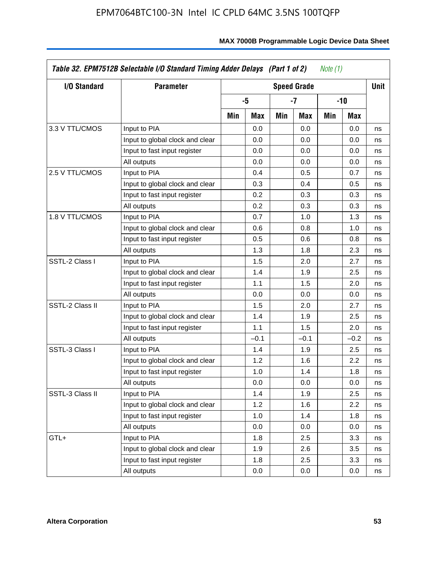| I/O Standard    | <b>Parameter</b>                |     | <b>Speed Grade</b> |     |        |     |            |    |
|-----------------|---------------------------------|-----|--------------------|-----|--------|-----|------------|----|
|                 |                                 |     | -5                 |     | $-7$   |     | -10        |    |
|                 |                                 | Min | Max                | Min | Max    | Min | <b>Max</b> |    |
| 3.3 V TTL/CMOS  | Input to PIA                    |     | 0.0                |     | 0.0    |     | 0.0        | ns |
|                 | Input to global clock and clear |     | 0.0                |     | 0.0    |     | 0.0        | ns |
|                 | Input to fast input register    |     | 0.0                |     | 0.0    |     | 0.0        | ns |
|                 | All outputs                     |     | 0.0                |     | 0.0    |     | 0.0        | ns |
| 2.5 V TTL/CMOS  | Input to PIA                    |     | 0.4                |     | 0.5    |     | 0.7        | ns |
|                 | Input to global clock and clear |     | 0.3                |     | 0.4    |     | 0.5        | ns |
|                 | Input to fast input register    |     | 0.2                |     | 0.3    |     | 0.3        | ns |
|                 | All outputs                     |     | 0.2                |     | 0.3    |     | 0.3        | ns |
| 1.8 V TTL/CMOS  | Input to PIA                    |     | 0.7                |     | 1.0    |     | 1.3        | ns |
|                 | Input to global clock and clear |     | 0.6                |     | 0.8    |     | 1.0        | ns |
|                 | Input to fast input register    |     | 0.5                |     | 0.6    |     | 0.8        | ns |
|                 | All outputs                     |     | 1.3                |     | 1.8    |     | 2.3        | ns |
| SSTL-2 Class I  | Input to PIA                    |     | 1.5                |     | 2.0    |     | 2.7        | ns |
|                 | Input to global clock and clear |     | 1.4                |     | 1.9    |     | 2.5        | ns |
|                 | Input to fast input register    |     | 1.1                |     | 1.5    |     | 2.0        | ns |
|                 | All outputs                     |     | 0.0                |     | 0.0    |     | 0.0        | ns |
| SSTL-2 Class II | Input to PIA                    |     | 1.5                |     | 2.0    |     | 2.7        | ns |
|                 | Input to global clock and clear |     | 1.4                |     | 1.9    |     | 2.5        | ns |
|                 | Input to fast input register    |     | 1.1                |     | 1.5    |     | 2.0        | ns |
|                 | All outputs                     |     | $-0.1$             |     | $-0.1$ |     | $-0.2$     | ns |
| SSTL-3 Class I  | Input to PIA                    |     | 1.4                |     | 1.9    |     | 2.5        | ns |
|                 | Input to global clock and clear |     | 1.2                |     | 1.6    |     | 2.2        | ns |
|                 | Input to fast input register    |     | 1.0                |     | 1.4    |     | 1.8        | ns |
|                 | All outputs                     |     | 0.0                |     | 0.0    |     | 0.0        | ns |
| SSTL-3 Class II | Input to PIA                    |     | 1.4                |     | 1.9    |     | 2.5        | ns |
|                 | Input to global clock and clear |     | 1.2                |     | 1.6    |     | 2.2        | ns |
|                 | Input to fast input register    |     | 1.0                |     | 1.4    |     | 1.8        | ns |
|                 | All outputs                     |     | 0.0                |     | 0.0    |     | 0.0        | ns |
| GTL+            | Input to PIA                    |     | 1.8                |     | 2.5    |     | 3.3        | ns |
|                 | Input to global clock and clear |     | 1.9                |     | 2.6    |     | 3.5        | ns |
|                 | Input to fast input register    |     | 1.8                |     | 2.5    |     | 3.3        | ns |
|                 | All outputs                     |     | 0.0                |     | 0.0    |     | 0.0        | ns |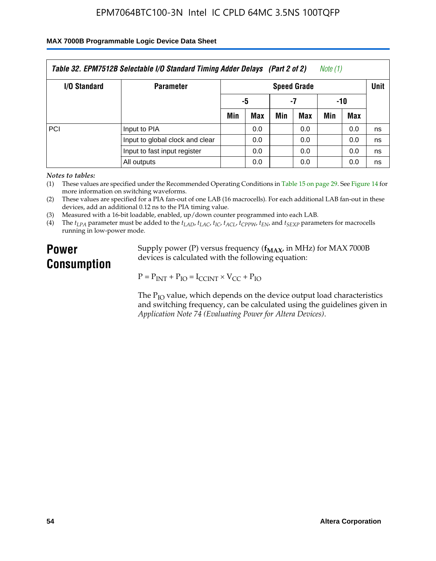#### **MAX 7000B Programmable Logic Device Data Sheet**

| Table 32. EPM7512B Selectable I/O Standard Timing Adder Delays (Part 2 of 2)<br>Note (1) |                                 |                    |     |     |     |     |            |      |
|------------------------------------------------------------------------------------------|---------------------------------|--------------------|-----|-----|-----|-----|------------|------|
| <b>I/O Standard</b>                                                                      | <b>Parameter</b>                | <b>Speed Grade</b> |     |     |     |     |            | Unit |
|                                                                                          |                                 | -5                 |     | -7  |     | -10 |            |      |
|                                                                                          |                                 | Min                | Max | Min | Max | Min | <b>Max</b> |      |
| <b>PCI</b>                                                                               | Input to PIA                    |                    | 0.0 |     | 0.0 |     | 0.0        | ns   |
|                                                                                          | Input to global clock and clear |                    | 0.0 |     | 0.0 |     | 0.0        | ns   |
|                                                                                          | Input to fast input register    |                    | 0.0 |     | 0.0 |     | 0.0        | ns   |
|                                                                                          | All outputs                     |                    | 0.0 |     | 0.0 |     | 0.0        | ns   |

*Notes to tables:*

(1) These values are specified under the Recommended Operating Conditions in Table 15 on page 29. See Figure 14 for more information on switching waveforms.

(2) These values are specified for a PIA fan-out of one LAB (16 macrocells). For each additional LAB fan-out in these devices, add an additional 0.12 ns to the PIA timing value.

(3) Measured with a 16-bit loadable, enabled, up/down counter programmed into each LAB.

(4) The  $t_{LPA}$  parameter must be added to the  $t_{LAD}$ ,  $t_{LAC}$ ,  $t_{IC}$ ,  $t_{ACL}$ ,  $t_{CPPW}$ ,  $t_{EN}$ , and  $t_{SEXP}$  parameters for macrocells running in low-power mode.

# **Power Consumption**

Supply power (P) versus frequency ( $f_{MAX}$ , in MHz) for MAX 7000B devices is calculated with the following equation:

 $P = P_{INT} + P_{IO} = I_{CCINT} \times V_{CC} + P_{IO}$ 

The  $P_{IO}$  value, which depends on the device output load characteristics and switching frequency, can be calculated using the guidelines given in *Application Note 74 (Evaluating Power for Altera Devices)*.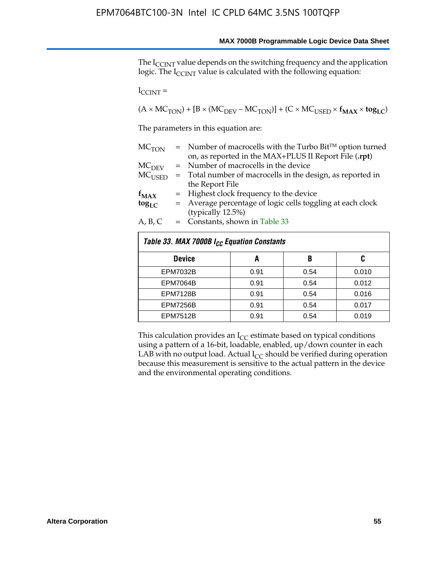The I<sub>CCINT</sub> value depends on the switching frequency and the application logic. The  $I_{\text{CCINT}}$  value is calculated with the following equation:

 $I_{CCTNT}$  =

 $(A \times MC_{TON}) + [B \times (MC_{DEV} - MC_{TON})] + (C \times MC_{USED} \times f_{MAX} \times to_{LC})$ 

The parameters in this equation are:

| MC <sub>TON</sub> | $=$ Number of macrocells with the Turbo Bit <sup>TM</sup> option turned |
|-------------------|-------------------------------------------------------------------------|
|                   | on, as reported in the MAX+PLUS II Report File (.rpt)                   |
| MC <sub>DFV</sub> | = Number of macrocells in the device                                    |
| $MC_{LISED}$      | = Total number of macrocells in the design, as reported in              |
|                   | the Report File                                                         |
| $f_{MAX}$         | = Highest clock frequency to the device                                 |
| $tog_{LC}$        | = Average percentage of logic cells toggling at each clock              |
|                   | (typically 12.5%)                                                       |
| A, B, C           | $=$ Constants, shown in Table 33                                        |

| Table 33. MAX 7000B I <sub>CC</sub> Equation Constants |      |      |       |  |  |  |  |  |
|--------------------------------------------------------|------|------|-------|--|--|--|--|--|
| <b>Device</b>                                          | A    | B    | C     |  |  |  |  |  |
| <b>EPM7032B</b>                                        | 0.91 | 0.54 | 0.010 |  |  |  |  |  |
| <b>EPM7064B</b>                                        | 0.91 | 0.54 | 0.012 |  |  |  |  |  |
| <b>EPM7128B</b>                                        | 0.91 | 0.54 | 0.016 |  |  |  |  |  |
| <b>EPM7256B</b>                                        | 0.91 | 0.54 | 0.017 |  |  |  |  |  |
| <b>EPM7512B</b>                                        | 0.91 | 0.54 | 0.019 |  |  |  |  |  |

This calculation provides an  $I_{CC}$  estimate based on typical conditions using a pattern of a 16-bit, loadable, enabled, up/down counter in each LAB with no output load. Actual  $I_{CC}$  should be verified during operation because this measurement is sensitive to the actual pattern in the device and the environmental operating conditions.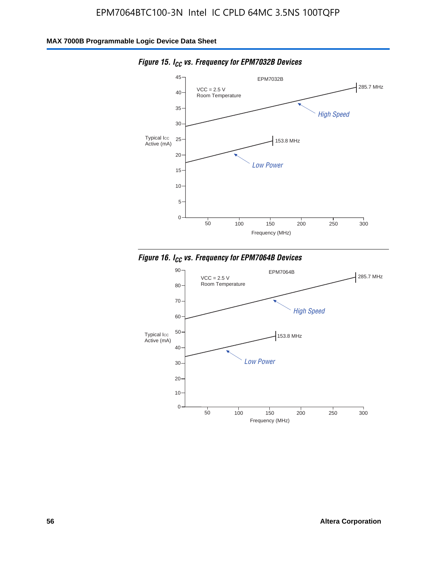

*Figure 15. ICC vs. Frequency for EPM7032B Devices*



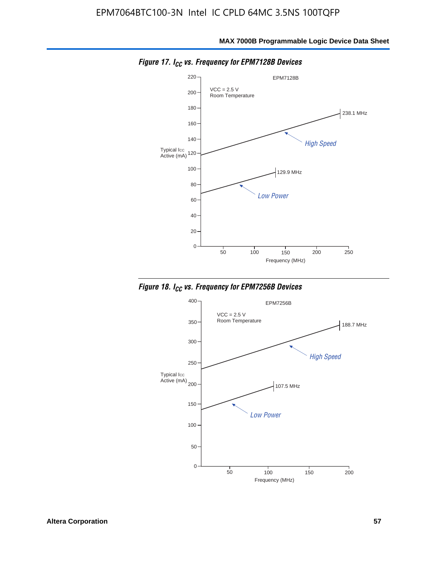

*Figure 17. ICC vs. Frequency for EPM7128B Devices*



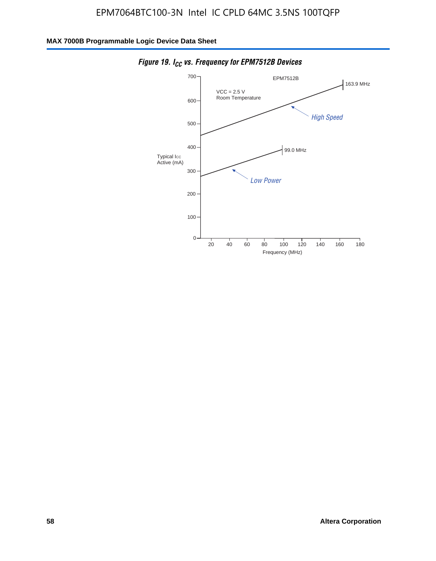

*Figure 19. I<sub>CC</sub> vs. Frequency for EPM7512B Devices*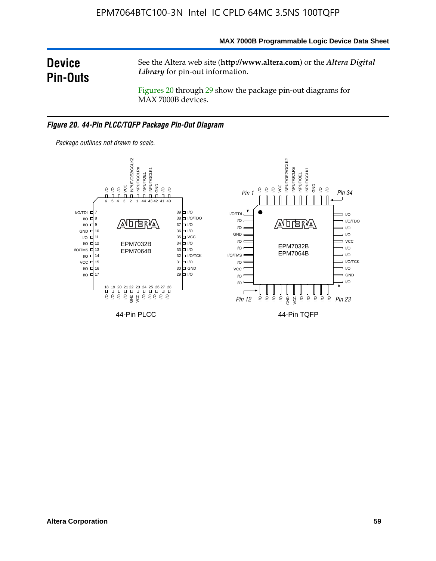**MAX 7000B Programmable Logic Device Data Sheet**

# **Device Pin-Outs**

See the Altera web site (**http://www.altera.com**) or the *Altera Digital Library* for pin-out information.

Figures 20 through 29 show the package pin-out diagrams for MAX 7000B devices.

#### *Figure 20. 44-Pin PLCC/TQFP Package Pin-Out Diagram*



*Package outlines not drawn to scale.*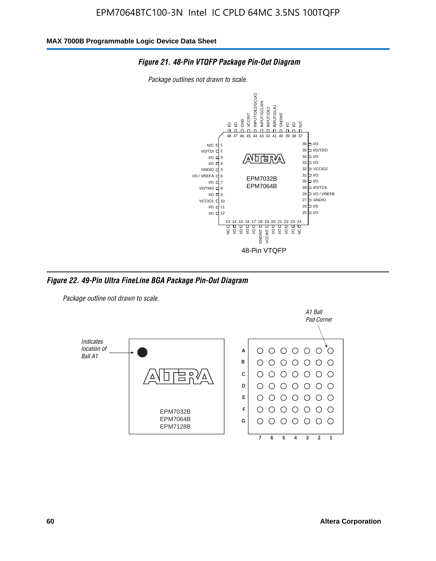

*Package outlines not drawn to scale.*



*Figure 22. 49-Pin Ultra FineLine BGA Package Pin-Out Diagram*

*Package outline not drawn to scale.*

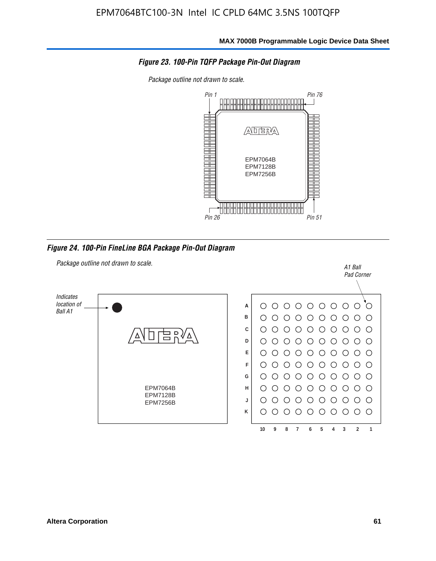

*Package outline not drawn to scale.*



*Figure 24. 100-Pin FineLine BGA Package Pin-Out Diagram*

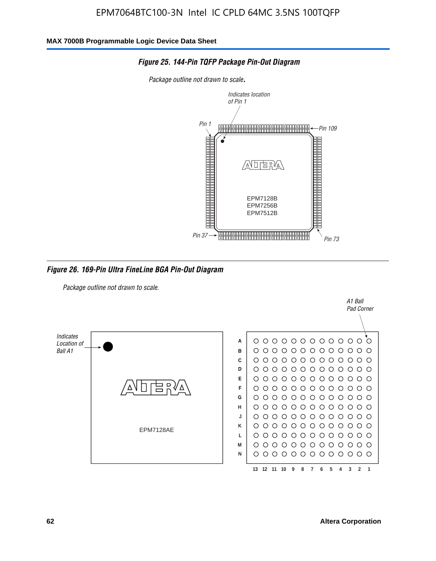

*Figure 25. 144-Pin TQFP Package Pin-Out Diagram*

*Package outline not drawn to scale*.

*Figure 26. 169-Pin Ultra FineLine BGA Pin-Out Diagram*

*Package outline not drawn to scale.*



A1 Ball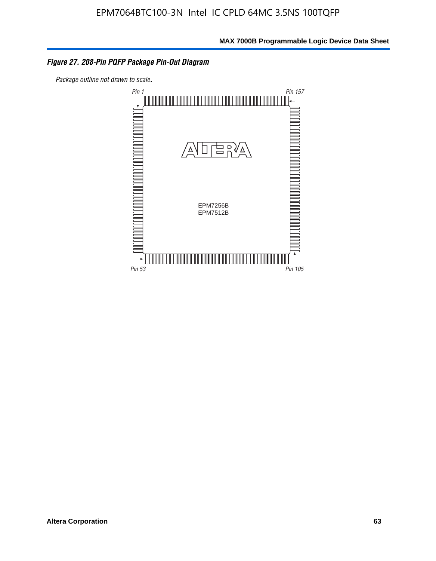#### *Figure 27. 208-Pin PQFP Package Pin-Out Diagram*

*Package outline not drawn to scale*.

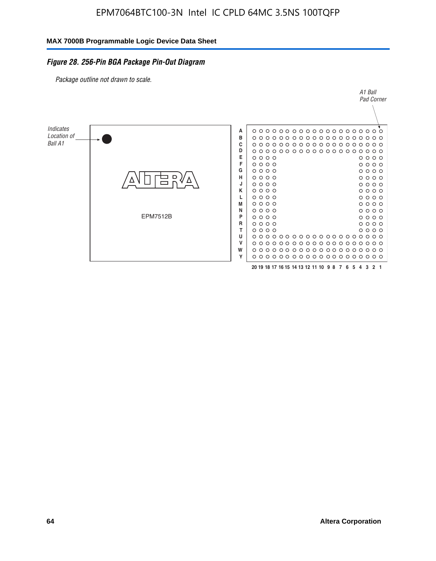#### *Figure 28. 256-Pin BGA Package Pin-Out Diagram*

*Package outline not drawn to scale.*

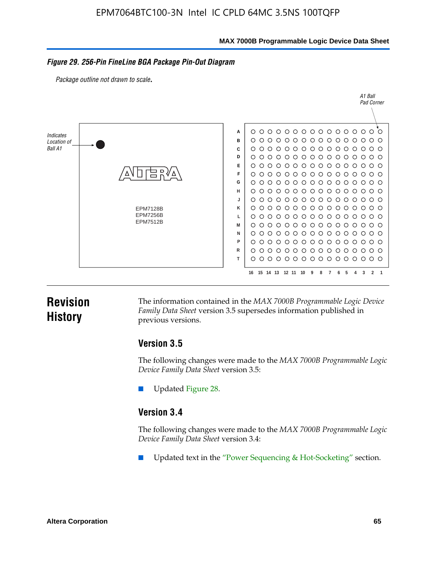**MAX 7000B Programmable Logic Device Data Sheet**

#### *Figure 29. 256-Pin FineLine BGA Package Pin-Out Diagram*

*Package outline not drawn to scale*.



# **Revision History**

The information contained in the *MAX 7000B Programmable Logic Device Family Data Sheet* version 3.5 supersedes information published in previous versions.

#### **Version 3.5**

The following changes were made to the *MAX 7000B Programmable Logic Device Family Data Sheet* version 3.5:

Updated Figure 28.

### **Version 3.4**

The following changes were made to the *MAX 7000B Programmable Logic Device Family Data Sheet* version 3.4:

Updated text in the "Power Sequencing & Hot-Socketing" section.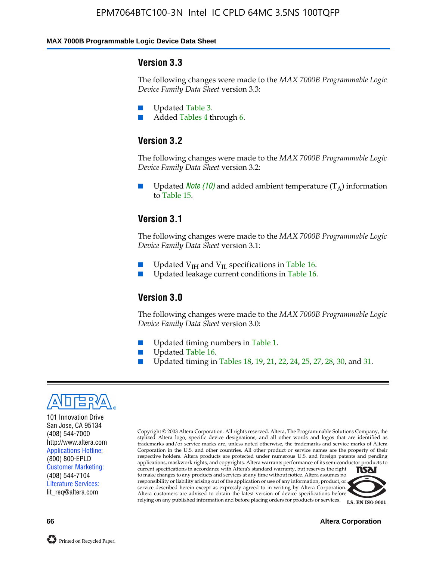#### **MAX 7000B Programmable Logic Device Data Sheet**

#### **Version 3.3**

The following changes were made to the *MAX 7000B Programmable Logic Device Family Data Sheet* version 3.3:

- Updated Table 3.
- Added Tables 4 through 6.

# **Version 3.2**

The following changes were made to the *MAX 7000B Programmable Logic Device Family Data Sheet* version 3.2:

Updated *Note* (10) and added ambient temperature  $(T_A)$  information to Table 15.

#### **Version 3.1**

The following changes were made to the *MAX 7000B Programmable Logic Device Family Data Sheet* version 3.1:

- Updated  $V_{\text{IH}}$  and  $V_{\text{II}}$  specifications in Table 16.
- Updated leakage current conditions in Table 16.

#### **Version 3.0**

The following changes were made to the *MAX 7000B Programmable Logic Device Family Data Sheet* version 3.0:

- Updated timing numbers in Table 1.
- Updated Table 16.
- Updated timing in Tables 18, 19, 21, 22, 24, 25, 27, 28, 30, and 31.



101 Innovation Drive San Jose, CA 95134 (408) 544-7000 http://www.altera.com Applications Hotline: (800) 800-EPLD Customer Marketing: (408) 544-7104 Literature Services: lit\_req@altera.com

Copyright © 2003 Altera Corporation. All rights reserved. Altera, The Programmable Solutions Company, the stylized Altera logo, specific device designations, and all other words and logos that are identified as trademarks and/or service marks are, unless noted otherwise, the trademarks and service marks of Altera Corporation in the U.S. and other countries. All other product or service names are the property of their respective holders. Altera products are protected under numerous U.S. and foreign patents and pending applications, maskwork rights, and copyrights. Altera warrants performance of its semiconductor products to current specifications in accordance with Altera's standard warranty, but reserves the right **TSAI** to make changes to any products and services at any time without notice. Altera assumes no responsibility or liability arising out of the application or use of any information, product, or service described herein except as expressly agreed to in writing by Altera Corporation.

Altera customers are advised to obtain the latest version of device specifications before relying on any published information and before placing orders for products or services.